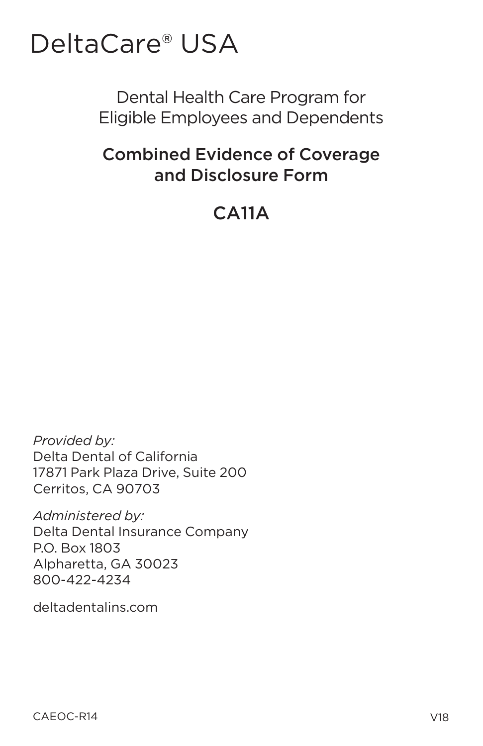# DeltaCare® USA

# Dental Health Care Program for Eligible Employees and Dependents

# **Combined Evidence of Coverage** and Disclosure Form

# $CA11A$

Provided by: Delta Dental of California 17871 Park Plaza Drive, Suite 200 Cerritos, CA 90703

Administered by: Delta Dental Insurance Company P.O. Box 1803 Alpharetta, GA 30023 800-422-4234

deltadentalins.com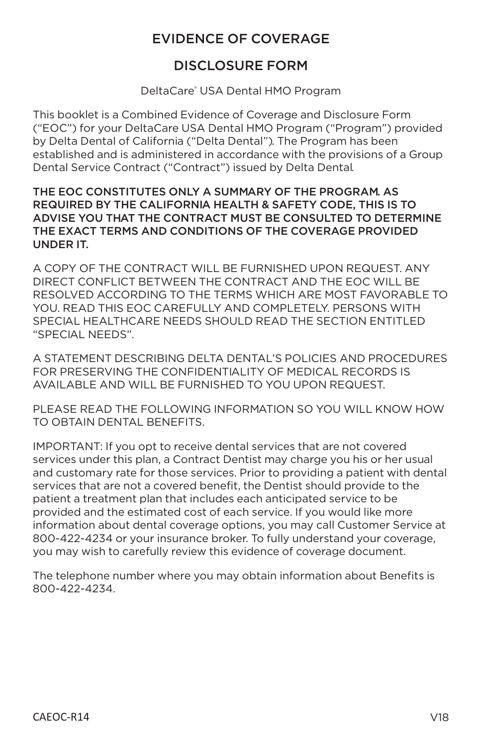### **EVIDENCE OF COVERAGE**

### **DISCLOSURE FORM**

DeltaCare® USA Dental HMO Program

This booklet is a Combined Evidence of Coverage and Disclosure Form ("EOC") for your DeltaCare USA Dental HMO Program ("Program") provided by Delta Dental of California ("Delta Dental"). The Program has been established and is administered in accordance with the provisions of a Group Dental Service Contract ("Contract") issued by Delta Dental.

#### THE EOC CONSTITUTES ONLY A SUMMARY OF THE PROGRAM, AS REQUIRED BY THE CALIFORNIA HEALTH & SAFETY CODE, THIS IS TO ADVISE YOU THAT THE CONTRACT MUST BE CONSULTED TO DETERMINE THE EXACT TERMS AND CONDITIONS OF THE COVERAGE PROVIDED **UNDER IT.**

A COPY OF THE CONTRACT WILL BE FURNISHED UPON REQUEST. ANY DIRECT CONFLICT BETWEEN THE CONTRACT AND THE EOC WILL BE RESOLVED ACCORDING TO THE TERMS WHICH ARE MOST FAVORABLE TO YOU, READ THIS EOC CAREFULLY AND COMPLETELY, PERSONS WITH SPECIAL HEALTHCARE NEEDS SHOULD READ THE SECTION ENTITLED "SPECIAL NEEDS".

A STATEMENT DESCRIBING DELTA DENTAL'S POLICIES AND PROCEDURES FOR PRESERVING THE CONFIDENTIAL ITY OF MEDICAL RECORDS IS AVAILABLE AND WILL BE FURNISHED TO YOU UPON REQUEST.

PLEASE READ THE FOLLOWING INFORMATION SO YOU WILL KNOW HOW TO OBTAIN DENTAL BENEFITS.

IMPORTANT: If you opt to receive dental services that are not covered services under this plan, a Contract Dentist may charge you his or her usual and customary rate for those services. Prior to providing a patient with dental services that are not a covered benefit, the Dentist should provide to the patient a treatment plan that includes each anticipated service to be provided and the estimated cost of each service. If you would like more information about dental coverage options, you may call Customer Service at 800-422-4234 or your insurance broker. To fully understand your coverage, you may wish to carefully review this evidence of coverage document.

The telephone number where you may obtain information about Benefits is 800-422-4234.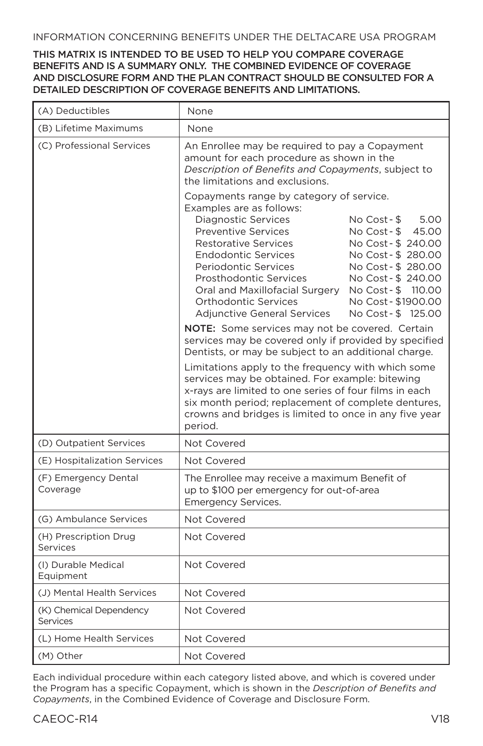#### INFORMATION CONCERNING BENEFITS UNDER THE DELTACARE USA PROGRAM

#### THIS MATRIX IS INTENDED TO BE USED TO HELP YOU COMPARE COVERAGE BENEFITS AND IS A SUMMARY ONLY. THE COMBINED EVIDENCE OF COVERAGE AND DISCLOSURE FORM AND THE PLAN CONTRACT SHOULD BE CONSULTED FOR A DETAILED DESCRIPTION OF COVERAGE BENEFITS AND LIMITATIONS.

| (A) Deductibles                     | None                                                                                                                                                                                                                                                                                                                                                                                                                                                                                                                                                                |  |
|-------------------------------------|---------------------------------------------------------------------------------------------------------------------------------------------------------------------------------------------------------------------------------------------------------------------------------------------------------------------------------------------------------------------------------------------------------------------------------------------------------------------------------------------------------------------------------------------------------------------|--|
| (B) Lifetime Maximums               | None                                                                                                                                                                                                                                                                                                                                                                                                                                                                                                                                                                |  |
| (C) Professional Services           | An Enrollee may be required to pay a Copayment<br>amount for each procedure as shown in the<br>Description of Benefits and Copayments, subject to<br>the limitations and exclusions.                                                                                                                                                                                                                                                                                                                                                                                |  |
|                                     | Copayments range by category of service.<br>Examples are as follows:<br><b>Diagnostic Services</b><br>No Cost - \$<br>5.00<br><b>Preventive Services</b><br>No Cost - \$<br>45.00<br><b>Restorative Services</b><br>No Cost - \$ 240.00<br><b>Endodontic Services</b><br>No Cost - \$280.00<br>Periodontic Services<br>No Cost - \$ 280.00<br>Prosthodontic Services<br>No Cost - \$240.00<br>Oral and Maxillofacial Surgery No Cost - \$ 110.00<br><b>Orthodontic Services</b><br>No Cost - \$1900.00<br><b>Adjunctive General Services</b><br>No Cost - \$ 125.00 |  |
|                                     | <b>NOTE:</b> Some services may not be covered. Certain<br>services may be covered only if provided by specified<br>Dentists, or may be subject to an additional charge.<br>Limitations apply to the frequency with which some<br>services may be obtained. For example: bitewing<br>x-rays are limited to one series of four films in each<br>six month period; replacement of complete dentures,<br>crowns and bridges is limited to once in any five year<br>period.                                                                                              |  |
| (D) Outpatient Services             | Not Covered                                                                                                                                                                                                                                                                                                                                                                                                                                                                                                                                                         |  |
| (E) Hospitalization Services        | Not Covered                                                                                                                                                                                                                                                                                                                                                                                                                                                                                                                                                         |  |
| (F) Emergency Dental<br>Coverage    | The Enrollee may receive a maximum Benefit of<br>up to \$100 per emergency for out-of-area<br><b>Emergency Services.</b>                                                                                                                                                                                                                                                                                                                                                                                                                                            |  |
| (G) Ambulance Services              | Not Covered                                                                                                                                                                                                                                                                                                                                                                                                                                                                                                                                                         |  |
| (H) Prescription Drug<br>Services   | Not Covered                                                                                                                                                                                                                                                                                                                                                                                                                                                                                                                                                         |  |
| (I) Durable Medical<br>Equipment    | Not Covered                                                                                                                                                                                                                                                                                                                                                                                                                                                                                                                                                         |  |
| (J) Mental Health Services          | Not Covered                                                                                                                                                                                                                                                                                                                                                                                                                                                                                                                                                         |  |
| (K) Chemical Dependency<br>Services | Not Covered                                                                                                                                                                                                                                                                                                                                                                                                                                                                                                                                                         |  |
| (L) Home Health Services            | Not Covered                                                                                                                                                                                                                                                                                                                                                                                                                                                                                                                                                         |  |
| (M) Other                           | Not Covered                                                                                                                                                                                                                                                                                                                                                                                                                                                                                                                                                         |  |

Each individual procedure within each category listed above, and which is covered under the Program has a specific Copayment, which is shown in the *Description of Benefits and Copayments*, in the Combined Evidence of Coverage and Disclosure Form.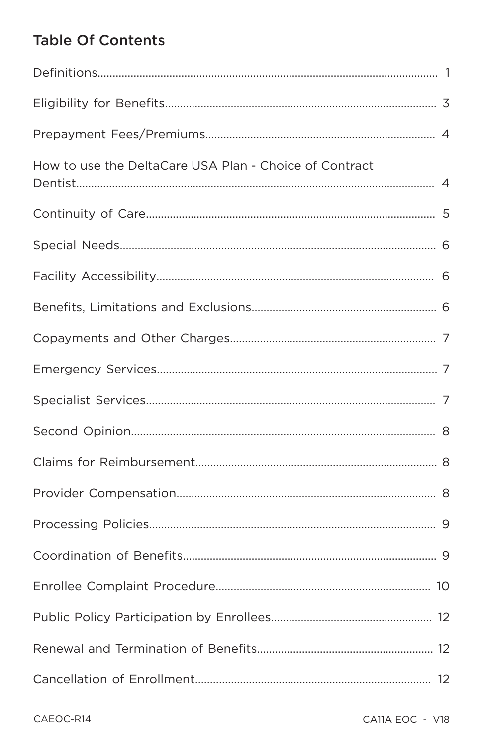# **Table Of Contents**

| How to use the DeltaCare USA Plan - Choice of Contract |  |
|--------------------------------------------------------|--|
|                                                        |  |
|                                                        |  |
|                                                        |  |
|                                                        |  |
|                                                        |  |
|                                                        |  |
|                                                        |  |
|                                                        |  |
|                                                        |  |
|                                                        |  |
|                                                        |  |
|                                                        |  |
|                                                        |  |
|                                                        |  |
|                                                        |  |
|                                                        |  |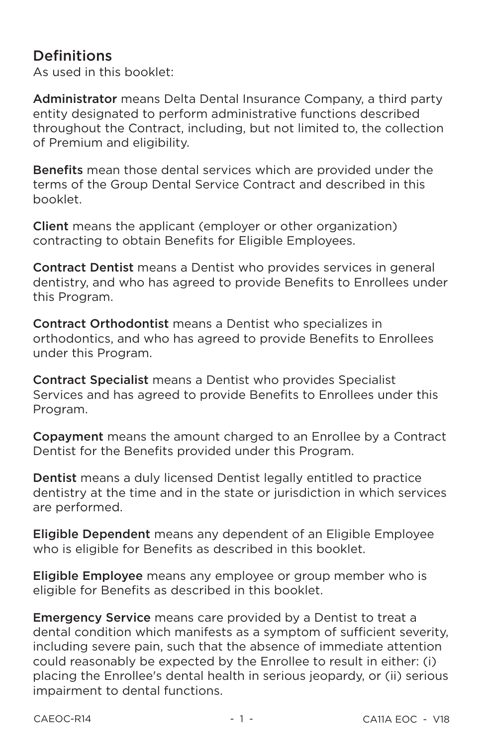# **Definitions**

As used in this booklet:

Administrator means Delta Dental Insurance Company, a third party entity designated to perform administrative functions described throughout the Contract, including, but not limited to, the collection of Premium and eligibility.

Benefits mean those dental services which are provided under the terms of the Group Dental Service Contract and described in this hooklet

**Client** means the applicant (employer or other organization) contracting to obtain Benefits for Eligible Employees.

**Contract Dentist** means a Dentist who provides services in general dentistry, and who has agreed to provide Benefits to Enrollees under this Program.

**Contract Orthodontist** means a Dentist who specializes in orthodontics, and who has agreed to provide Benefits to Enrollees under this Program.

**Contract Specialist** means a Dentist who provides Specialist Services and has agreed to provide Benefits to Enrollees under this Program.

Copayment means the amount charged to an Enrollee by a Contract Dentist for the Benefits provided under this Program.

**Dentist** means a duly licensed Dentist legally entitled to practice dentistry at the time and in the state or jurisdiction in which services are performed.

**Eligible Dependent** means any dependent of an Eligible Employee who is eligible for Benefits as described in this booklet.

Eligible Employee means any employee or group member who is eligible for Benefits as described in this booklet.

**Emergency Service** means care provided by a Dentist to treat a dental condition which manifests as a symptom of sufficient severity, including severe pain, such that the absence of immediate attention could reasonably be expected by the Enrollee to result in either: (i) placing the Enrollee's dental health in serious jeopardy, or (ii) serious impairment to dental functions.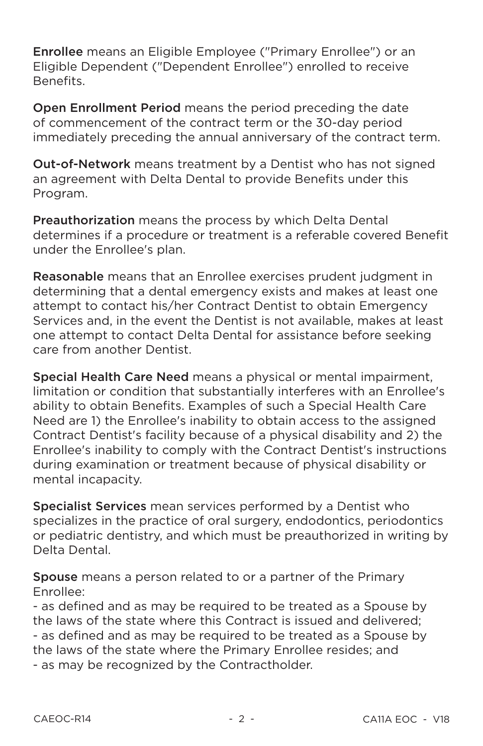**Enrollee** means an Eligible Employee ("Primary Enrollee") or an Eligible Dependent ("Dependent Enrollee") enrolled to receive **Benefits** 

Open Enrollment Period means the period preceding the date of commencement of the contract term or the 30-day period immediately preceding the annual anniversary of the contract term.

**Out-of-Network** means treatment by a Dentist who has not signed an agreement with Delta Dental to provide Benefits under this Program.

**Preauthorization** means the process by which Delta Dental determines if a procedure or treatment is a referable covered Benefit under the Enrollee's plan.

Reasonable means that an Enrollee exercises prudent judgment in determining that a dental emergency exists and makes at least one attempt to contact his/her Contract Dentist to obtain Emergency Services and, in the event the Dentist is not available, makes at least one attempt to contact Delta Dental for assistance before seeking care from another Dentist

Special Health Care Need means a physical or mental impairment, limitation or condition that substantially interferes with an Enrollee's ability to obtain Benefits. Examples of such a Special Health Care Need are 1) the Enrollee's inability to obtain access to the assigned Contract Dentist's facility because of a physical disability and 2) the Enrollee's inability to comply with the Contract Dentist's instructions during examination or treatment because of physical disability or mental incapacity.

Specialist Services mean services performed by a Dentist who specializes in the practice of oral surgery, endodontics, periodontics or pediatric dentistry, and which must be preauthorized in writing by Delta Dental

Spouse means a person related to or a partner of the Primary Fnrollee:

- as defined and as may be required to be treated as a Spouse by the laws of the state where this Contract is issued and delivered: - as defined and as may be required to be treated as a Spouse by the laws of the state where the Primary Enrollee resides; and - as may be recognized by the Contractholder.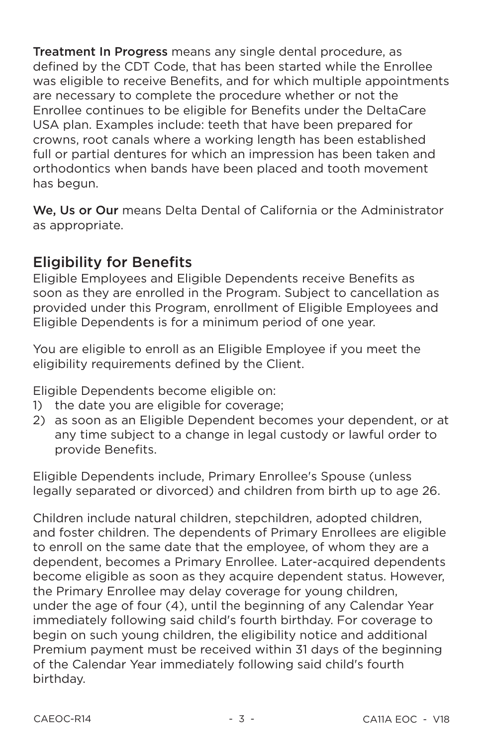Treatment In Progress means any single dental procedure, as defined by the CDT Code, that has been started while the Enrollee was eligible to receive Benefits, and for which multiple appointments are necessary to complete the procedure whether or not the Enrollee continues to be eligible for Benefits under the DeltaCare USA plan. Examples include: teeth that have been prepared for crowns, root canals where a working length has been established full or partial dentures for which an impression has been taken and orthodontics when bands have been placed and tooth movement has begun.

We. Us or Our means Delta Dental of California or the Administrator as appropriate.

# **Eligibility for Benefits**

Eligible Employees and Eligible Dependents receive Benefits as soon as they are enrolled in the Program. Subject to cancellation as provided under this Program, enrollment of Eligible Employees and Eligible Dependents is for a minimum period of one year.

You are eligible to enroll as an Eligible Employee if you meet the eligibility requirements defined by the Client.

Eligible Dependents become eligible on:

- 1) the date you are eligible for coverage:
- 2) as soon as an Eligible Dependent becomes your dependent, or at any time subject to a change in legal custody or lawful order to provide Benefits.

Eligible Dependents include, Primary Enrollee's Spouse (unless legally separated or divorced) and children from birth up to age 26.

Children include natural children, stepchildren, adopted children. and foster children. The dependents of Primary Enrollees are eligible to enroll on the same date that the employee, of whom they are a dependent, becomes a Primary Enrollee. Later-acquired dependents become eligible as soon as they acquire dependent status. However, the Primary Enrollee may delay coverage for young children, under the age of four (4), until the beginning of any Calendar Year immediately following said child's fourth birthday. For coverage to begin on such young children, the eligibility notice and additional Premium payment must be received within 31 days of the beginning of the Calendar Year immediately following said child's fourth birthdav.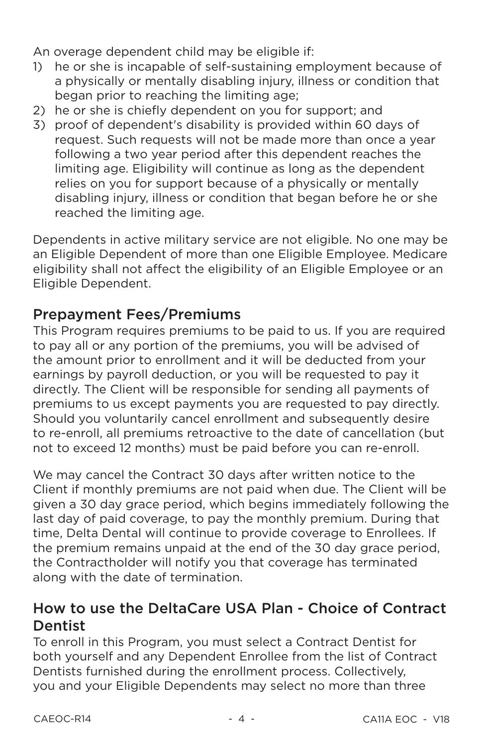An overage dependent child may be eligible if:

- he or she is incapable of self-sustaining employment because of  $\left( \frac{1}{2} \right)$ a physically or mentally disabling injury, illness or condition that began prior to reaching the limiting age:
- 2) he or she is chiefly dependent on you for support; and
- 3) proof of dependent's disability is provided within 60 days of request. Such requests will not be made more than once a year following a two year period after this dependent reaches the limiting age. Eligibility will continue as long as the dependent relies on you for support because of a physically or mentally disabling injury, illness or condition that began before he or she reached the limiting age.

Dependents in active military service are not eligible. No one may be an Eligible Dependent of more than one Eligible Employee. Medicare eligibility shall not affect the eligibility of an Eligible Employee or an Eligible Dependent.

# **Prepayment Fees/Premiums**

This Program requires premiums to be paid to us. If you are required to pay all or any portion of the premiums, you will be advised of the amount prior to enrollment and it will be deducted from your earnings by payroll deduction, or you will be requested to pay it directly. The Client will be responsible for sending all payments of premiums to us except payments you are requested to pay directly. Should you voluntarily cancel enrollment and subsequently desire to re-enroll, all premiums retroactive to the date of cancellation (but not to exceed 12 months) must be paid before you can re-enroll.

We may cancel the Contract 30 days after written notice to the Client if monthly premiums are not paid when due. The Client will be given a 30 day grace period, which begins immediately following the last day of paid coverage, to pay the monthly premium. During that time. Delta Dental will continue to provide coverage to Enrollees. If the premium remains unpaid at the end of the 30 day grace period, the Contractholder will notify you that coverage has terminated along with the date of termination.

# How to use the DeltaCare USA Plan - Choice of Contract **Dentist**

To enroll in this Program, you must select a Contract Dentist for both yourself and any Dependent Enrollee from the list of Contract Dentists furnished during the enrollment process. Collectively. you and your Eligible Dependents may select no more than three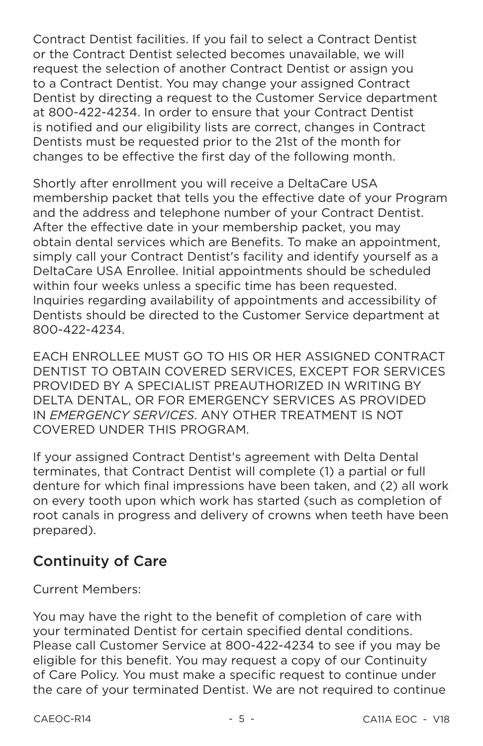Contract Dentist facilities. If you fail to select a Contract Dentist or the Contract Dentist selected becomes unavailable, we will request the selection of another Contract Dentist or assign you to a Contract Dentist. You may change your assigned Contract Dentist by directing a request to the Customer Service department at 800-422-4234. In order to ensure that your Contract Dentist is notified and our eligibility lists are correct, changes in Contract Dentists must be requested prior to the 21st of the month for changes to be effective the first day of the following month.

Shortly after enrollment you will receive a DeltaCare USA membership packet that tells you the effective date of your Program and the address and telephone number of your Contract Dentist. After the effective date in your membership packet, you may obtain dental services which are Benefits. To make an appointment. simply call your Contract Dentist's facility and identify yourself as a DeltaCare USA Enrollee, Initial appointments should be scheduled within four weeks unless a specific time has been requested. Inquiries regarding availability of appointments and accessibility of Dentists should be directed to the Customer Service department at 800-422-4234.

EACH ENROLLEE MUST GO TO HIS OR HER ASSIGNED CONTRACT DENTIST TO OBTAIN COVERED SERVICES. EXCEPT FOR SERVICES PROVIDED BY A SPECIALIST PREAUTHORIZED IN WRITING BY DELTA DENTAL, OR FOR EMERGENCY SERVICES AS PROVIDED IN EMERGENCY SERVICES. ANY OTHER TREATMENT IS NOT COVERED UNDER THIS PROGRAM.

If your assigned Contract Dentist's agreement with Delta Dental terminates, that Contract Dentist will complete (1) a partial or full denture for which final impressions have been taken, and (2) all work on every tooth upon which work has started (such as completion of root canals in progress and delivery of crowns when teeth have been prepared).

# **Continuity of Care**

**Current Members:** 

You may have the right to the benefit of completion of care with vour terminated Dentist for certain specified dental conditions. Please call Customer Service at 800-422-4234 to see if you may be eligible for this benefit. You may request a copy of our Continuity of Care Policy. You must make a specific request to continue under the care of your terminated Dentist. We are not required to continue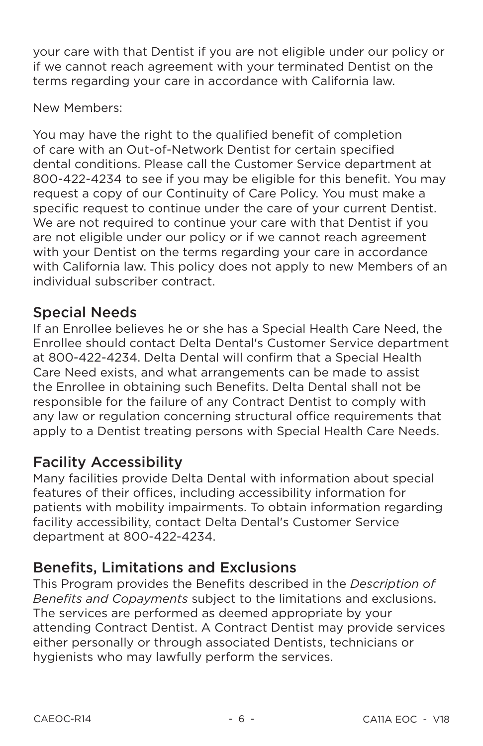your care with that Dentist if you are not eligible under our policy or if we cannot reach agreement with your terminated Dentist on the terms regarding your care in accordance with California law.

New Members:

You may have the right to the qualified benefit of completion of care with an Out-of-Network Dentist for certain specified dental conditions. Please call the Customer Service department at 800-422-4234 to see if you may be eligible for this benefit. You may request a copy of our Continuity of Care Policy. You must make a specific request to continue under the care of your current Dentist. We are not required to continue your care with that Dentist if you are not eligible under our policy or if we cannot reach agreement with your Dentist on the terms regarding your care in accordance with California law. This policy does not apply to new Members of an individual subscriber contract

# **Special Needs**

If an Enrollee believes he or she has a Special Health Care Need, the Enrollee should contact Delta Dental's Customer Service department at 800-422-4234. Delta Dental will confirm that a Special Health Care Need exists, and what arrangements can be made to assist the Enrollee in obtaining such Benefits. Delta Dental shall not be responsible for the failure of any Contract Dentist to comply with any law or regulation concerning structural office requirements that apply to a Dentist treating persons with Special Health Care Needs.

# **Facility Accessibility**

Many facilities provide Delta Dental with information about special features of their offices, including accessibility information for patients with mobility impairments. To obtain information regarding facility accessibility, contact Delta Dental's Customer Service department at 800-422-4234.

# **Benefits, Limitations and Exclusions**

This Program provides the Benefits described in the Description of Benefits and Copayments subject to the limitations and exclusions. The services are performed as deemed appropriate by your attending Contract Dentist. A Contract Dentist may provide services either personally or through associated Dentists, technicians or hygienists who may lawfully perform the services.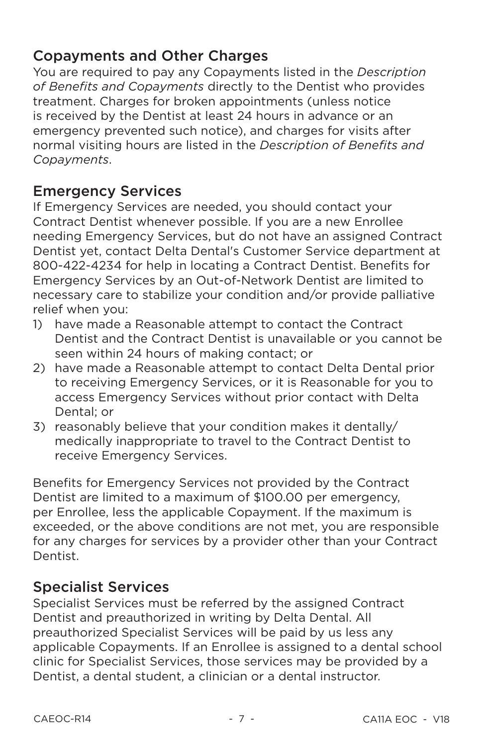# **Copayments and Other Charges**

You are required to pay any Copayments listed in the Description of Benefits and Copayments directly to the Dentist who provides treatment. Charges for broken appointments (unless notice is received by the Dentist at least 24 hours in advance or an emergency prevented such notice), and charges for visits after normal visiting hours are listed in the Description of Benefits and Copayments.

# **Emergency Services**

If Emergency Services are needed, you should contact your Contract Dentist whenever possible. If you are a new Enrollee needing Emergency Services, but do not have an assigned Contract Dentist vet, contact Delta Dental's Customer Service department at 800-422-4234 for help in locating a Contract Dentist. Benefits for Emergency Services by an Out-of-Network Dentist are limited to necessary care to stabilize your condition and/or provide palliative relief when you:

- 1) have made a Reasonable attempt to contact the Contract Dentist and the Contract Dentist is unavailable or you cannot be seen within 24 hours of making contact: or
- 2) have made a Reasonable attempt to contact Delta Dental prior to receiving Emergency Services, or it is Reasonable for you to access Emergency Services without prior contact with Delta Dental: or
- 3) reasonably believe that your condition makes it dentally/ medically inappropriate to travel to the Contract Dentist to receive Emergency Services.

Benefits for Emergency Services not provided by the Contract Dentist are limited to a maximum of \$100.00 per emergency, per Enrollee, less the applicable Copayment. If the maximum is exceeded, or the above conditions are not met, you are responsible for any charges for services by a provider other than your Contract Dentist.

# **Specialist Services**

Specialist Services must be referred by the assigned Contract Dentist and preauthorized in writing by Delta Dental. All preauthorized Specialist Services will be paid by us less any applicable Copayments. If an Enrollee is assigned to a dental school clinic for Specialist Services, those services may be provided by a Dentist, a dental student, a clinician or a dental instructor.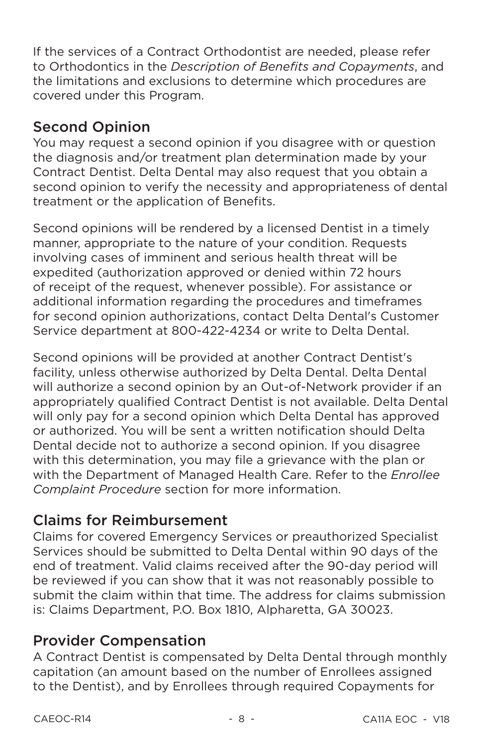If the services of a Contract Orthodontist are needed, please refer to Orthodontics in the Description of Benefits and Copayments, and the limitations and exclusions to determine which procedures are covered under this Program.

# **Second Opinion**

You may request a second opinion if you disagree with or question the diagnosis and/or treatment plan determination made by your Contract Dentist. Delta Dental may also request that you obtain a second opinion to verify the necessity and appropriateness of dental treatment or the application of Benefits.

Second opinions will be rendered by a licensed Dentist in a timely manner, appropriate to the nature of your condition. Requests involving cases of imminent and serious health threat will be expedited (authorization approved or denied within 72 hours of receipt of the request, whenever possible). For assistance or additional information regarding the procedures and timeframes for second opinion authorizations, contact Delta Dental's Customer Service department at 800-422-4234 or write to Delta Dental.

Second opinions will be provided at another Contract Dentist's facility, unless otherwise authorized by Delta Dental, Delta Dental will authorize a second opinion by an Out-of-Network provider if an appropriately qualified Contract Dentist is not available. Delta Dental will only pay for a second opinion which Delta Dental has approved or authorized. You will be sent a written notification should Delta Dental decide not to authorize a second opinion. If you disagree with this determination, you may file a grievance with the plan or with the Department of Managed Health Care. Refer to the Enrollee Complaint Procedure section for more information.

# **Claims for Reimbursement**

Claims for covered Emergency Services or preauthorized Specialist Services should be submitted to Delta Dental within 90 days of the end of treatment. Valid claims received after the 90-day period will be reviewed if you can show that it was not reasonably possible to submit the claim within that time. The address for claims submission is: Claims Department, P.O. Box 1810, Alpharetta, GA 30023.

### **Provider Compensation**

A Contract Dentist is compensated by Delta Dental through monthly capitation (an amount based on the number of Enrollees assigned to the Dentist), and by Enrollees through required Copayments for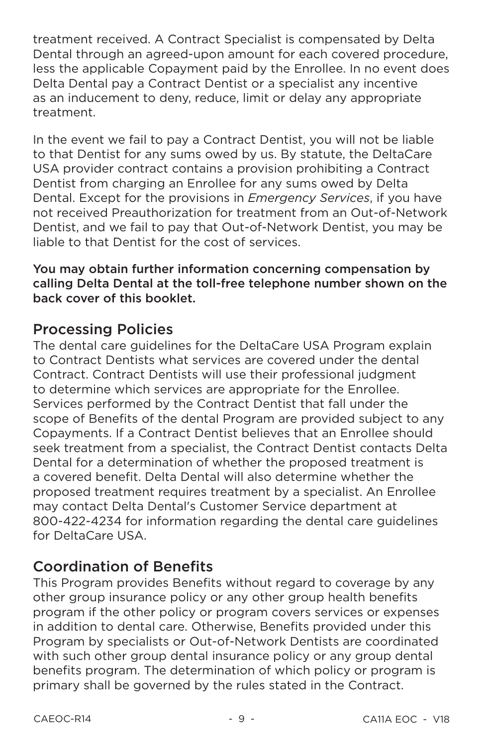treatment received. A Contract Specialist is compensated by Delta Dental through an agreed-upon amount for each covered procedure. less the applicable Copayment paid by the Enrollee. In no event does Delta Dental pay a Contract Dentist or a specialist any incentive as an inducement to deny, reduce, limit or delay any appropriate treatment.

In the event we fail to pay a Contract Dentist, you will not be liable to that Dentist for any sums owed by us. By statute, the DeltaCare USA provider contract contains a provision prohibiting a Contract Dentist from charging an Enrollee for any sums owed by Delta Dental. Except for the provisions in *Emergency Services*, if you have not received Preauthorization for treatment from an Out-of-Network Dentist, and we fail to pay that Out-of-Network Dentist, you may be liable to that Dentist for the cost of services.

You may obtain further information concerning compensation by calling Delta Dental at the toll-free telephone number shown on the back cover of this booklet.

### **Processing Policies**

The dental care guidelines for the DeltaCare USA Program explain to Contract Dentists what services are covered under the dental Contract. Contract Dentists will use their professional judgment to determine which services are appropriate for the Enrollee. Services performed by the Contract Dentist that fall under the scope of Benefits of the dental Program are provided subject to any Copayments. If a Contract Dentist believes that an Enrollee should seek treatment from a specialist, the Contract Dentist contacts Delta Dental for a determination of whether the proposed treatment is a covered benefit. Delta Dental will also determine whether the proposed treatment requires treatment by a specialist. An Enrollee may contact Delta Dental's Customer Service department at 800-422-4234 for information regarding the dental care quidelines for DeltaCare USA.

# **Coordination of Benefits**

This Program provides Benefits without regard to coverage by any other group insurance policy or any other group health benefits program if the other policy or program covers services or expenses in addition to dental care. Otherwise, Benefits provided under this Program by specialists or Out-of-Network Dentists are coordinated with such other group dental insurance policy or any group dental benefits program. The determination of which policy or program is primary shall be governed by the rules stated in the Contract.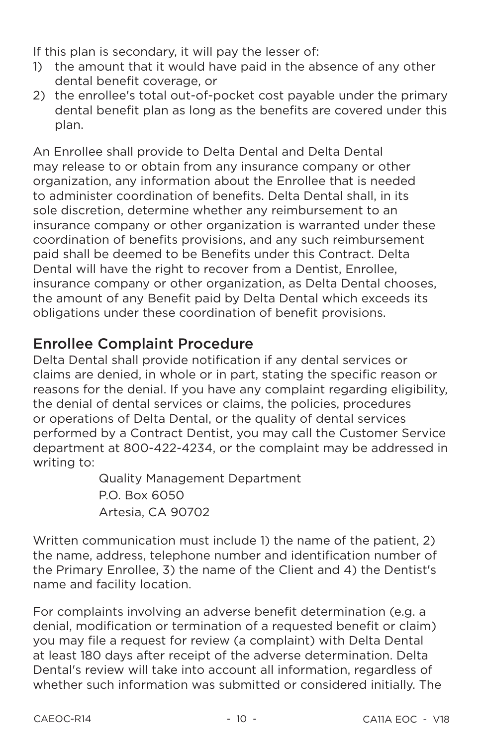If this plan is secondary, it will pay the lesser of:

- 1) the amount that it would have paid in the absence of any other dental benefit coverage, or
- 2) the enrollee's total out-of-pocket cost payable under the primary dental benefit plan as long as the benefits are covered under this plan.

An Enrollee shall provide to Delta Dental and Delta Dental may release to or obtain from any insurance company or other organization, any information about the Enrollee that is needed to administer coordination of benefits. Delta Dental shall, in its sole discretion, determine whether any reimbursement to an insurance company or other organization is warranted under these coordination of benefits provisions, and any such reimbursement paid shall be deemed to be Benefits under this Contract. Delta Dental will have the right to recover from a Dentist. Enrollee. insurance company or other organization, as Delta Dental chooses, the amount of any Benefit paid by Delta Dental which exceeds its obligations under these coordination of benefit provisions.

# **Enrollee Complaint Procedure**

Delta Dental shall provide notification if any dental services or claims are denied, in whole or in part, stating the specific reason or reasons for the denial. If you have any complaint regarding eligibility, the denial of dental services or claims, the policies, procedures or operations of Delta Dental, or the quality of dental services performed by a Contract Dentist, you may call the Customer Service department at 800-422-4234, or the complaint may be addressed in writing to:

**Quality Management Department** P.O. Box 6050 Artesia. CA 90702

Written communication must include 1) the name of the patient, 2) the name, address, telephone number and identification number of the Primary Enrollee, 3) the name of the Client and 4) the Dentist's name and facility location.

For complaints involving an adverse benefit determination (e.g. a denial, modification or termination of a requested benefit or claim) you may file a request for review (a complaint) with Delta Dental at least 180 days after receipt of the adverse determination. Delta Dental's review will take into account all information, regardless of whether such information was submitted or considered initially. The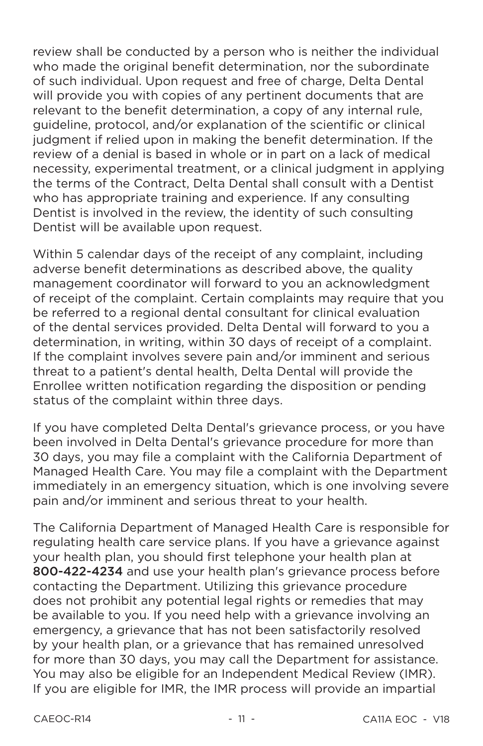review shall be conducted by a person who is neither the individual who made the original benefit determination, nor the subordinate of such individual. Upon request and free of charge. Delta Dental will provide you with copies of any pertinent documents that are relevant to the benefit determination, a copy of any internal rule. quideline, protocol, and/or explanation of the scientific or clinical judgment if relied upon in making the benefit determination. If the review of a denial is based in whole or in part on a lack of medical necessity, experimental treatment, or a clinical judgment in applying the terms of the Contract. Delta Dental shall consult with a Dentist who has appropriate training and experience. If any consulting Dentist is involved in the review, the identity of such consulting Dentist will be available upon request.

Within 5 calendar days of the receipt of any complaint, including adverse benefit determinations as described above, the quality management coordinator will forward to you an acknowledgment of receipt of the complaint. Certain complaints may require that you be referred to a regional dental consultant for clinical evaluation of the dental services provided. Delta Dental will forward to you a determination, in writing, within 30 days of receipt of a complaint. If the complaint involves severe pain and/or imminent and serious threat to a patient's dental health, Delta Dental will provide the Enrollee written notification regarding the disposition or pending status of the complaint within three days.

If you have completed Delta Dental's grievance process, or you have been involved in Delta Dental's grievance procedure for more than 30 days, you may file a complaint with the California Department of Managed Health Care. You may file a complaint with the Department immediately in an emergency situation, which is one involving severe pain and/or imminent and serious threat to your health.

The California Department of Managed Health Care is responsible for regulating health care service plans. If you have a grievance against your health plan, you should first telephone your health plan at 800-422-4234 and use your health plan's grievance process before contacting the Department. Utilizing this grievance procedure does not prohibit any potential legal rights or remedies that may be available to you. If you need help with a grievance involving an emergency, a grievance that has not been satisfactorily resolved by your health plan, or a grievance that has remained unresolved for more than 30 days, you may call the Department for assistance. You may also be eligible for an Independent Medical Review (IMR). If you are eligible for IMR, the IMR process will provide an impartial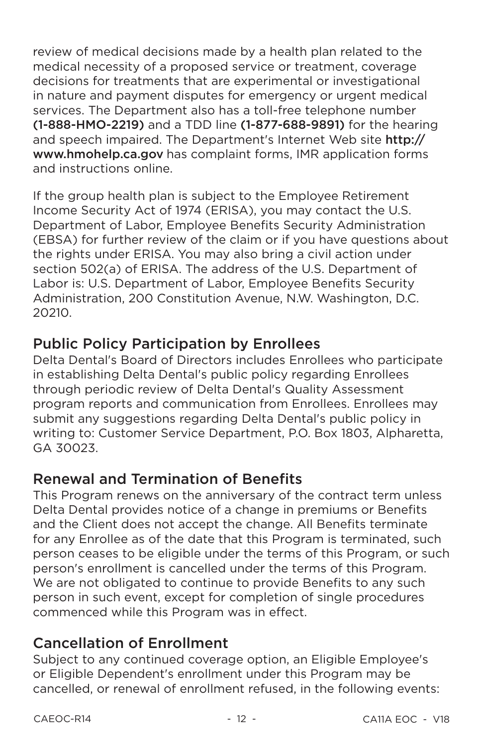review of medical decisions made by a health plan related to the medical necessity of a proposed service or treatment, coverage decisions for treatments that are experimental or investigational in nature and payment disputes for emergency or urgent medical services. The Department also has a toll-free telephone number (1-888-HMO-2219) and a TDD line (1-877-688-9891) for the hearing and speech impaired. The Department's Internet Web site http:// www.hmohelp.ca.gov has complaint forms. IMR application forms and instructions online

If the group health plan is subject to the Employee Retirement Income Security Act of 1974 (ERISA), you may contact the U.S. Department of Labor, Employee Benefits Security Administration (EBSA) for further review of the claim or if you have questions about the rights under ERISA. You may also bring a civil action under section 502(a) of ERISA. The address of the U.S. Department of Labor is: U.S. Department of Labor, Employee Benefits Security Administration, 200 Constitution Avenue, N.W. Washington, D.C. 20210.

# **Public Policy Participation by Enrollees**

Delta Dental's Board of Directors includes Enrollees who participate in establishing Delta Dental's public policy regarding Enrollees through periodic review of Delta Dental's Quality Assessment program reports and communication from Enrollees. Enrollees may submit any suggestions regarding Delta Dental's public policy in writing to: Customer Service Department, P.O. Box 1803, Alpharetta, GA 30023.

# **Renewal and Termination of Benefits**

This Program renews on the anniversary of the contract term unless Delta Dental provides notice of a change in premiums or Benefits and the Client does not accept the change. All Benefits terminate for any Enrollee as of the date that this Program is terminated, such person ceases to be eligible under the terms of this Program, or such person's enrollment is cancelled under the terms of this Program. We are not obligated to continue to provide Benefits to any such person in such event, except for completion of single procedures commenced while this Program was in effect.

# **Cancellation of Enrollment**

Subject to any continued coverage option, an Eligible Employee's or Eligible Dependent's enrollment under this Program may be cancelled, or renewal of enrollment refused, in the following events: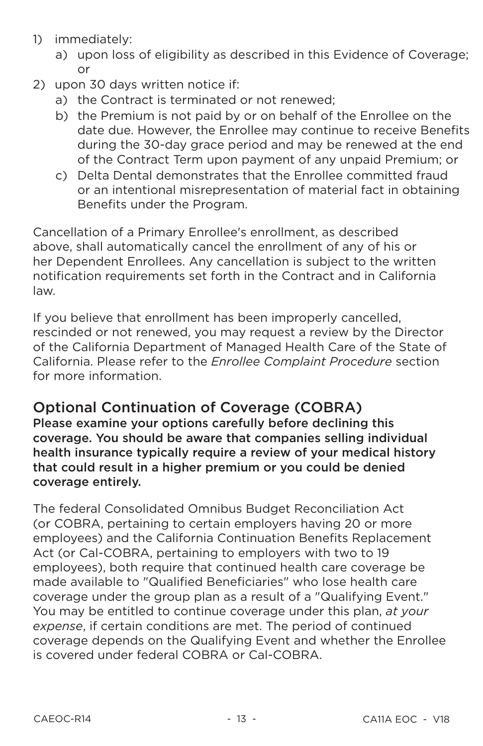- 1) immediately:
	- a) upon loss of eligibility as described in this Evidence of Coverage;  $\alpha$ r
- 2) upon 30 days written notice if:
	- a) the Contract is terminated or not renewed:
	- b) the Premium is not paid by or on behalf of the Enrollee on the date due. However, the Enrollee may continue to receive Benefits during the 30-day grace period and may be renewed at the end of the Contract Term upon payment of any unpaid Premium; or
	- c) Delta Dental demonstrates that the Enrollee committed fraud or an intentional misrepresentation of material fact in obtaining Benefits under the Program.

Cancellation of a Primary Enrollee's enrollment, as described above, shall automatically cancel the enrollment of any of his or her Dependent Enrollees. Any cancellation is subject to the written notification requirements set forth in the Contract and in California law.

If you believe that enrollment has been improperly cancelled, rescinded or not renewed, you may request a review by the Director of the California Department of Managed Health Care of the State of California. Please refer to the *Enrollee Complaint Procedure* section for more information.

### **Optional Continuation of Coverage (COBRA)**

Please examine your options carefully before declining this coverage. You should be aware that companies selling individual health insurance typically require a review of your medical history that could result in a higher premium or you could be denied coverage entirely.

The federal Consolidated Omnibus Budget Reconciliation Act (or COBRA, pertaining to certain employers having 20 or more employees) and the California Continuation Benefits Replacement Act (or Cal-COBRA, pertaining to employers with two to 19 employees), both require that continued health care coverage be made available to "Qualified Beneficiaries" who lose health care coverage under the group plan as a result of a "Qualifying Event." You may be entitled to continue coverage under this plan, at your expense, if certain conditions are met. The period of continued coverage depends on the Qualifying Event and whether the Enrollee is covered under federal COBRA or Cal-COBRA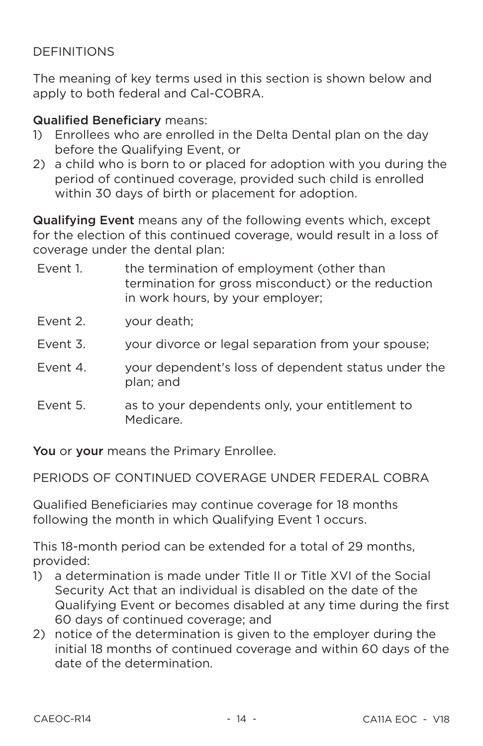#### **DEFINITIONS**

The meaning of key terms used in this section is shown below and apply to both federal and Cal-COBRA.

#### **Qualified Beneficiary means:**

- 1) Enrollees who are enrolled in the Delta Dental plan on the day before the Qualifying Event, or
- 2) a child who is born to or placed for adoption with you during the period of continued coverage, provided such child is enrolled within 30 days of birth or placement for adoption.

Qualifying Event means any of the following events which, except for the election of this continued coverage, would result in a loss of coverage under the dental plan:

- Fvent 1 the termination of employment (other than termination for gross misconduct) or the reduction in work hours, by your employer;
- $F$ vent  $2$ your death;
- Fvent 3. your divorce or legal separation from your spouse;
- Fvent 4 your dependent's loss of dependent status under the plan: and
- Fvent 5. as to your dependents only, your entitlement to Medicare.

You or your means the Primary Enrollee.

PERIODS OF CONTINUED COVERAGE UNDER FEDERAL COBRA

Qualified Beneficiaries may continue coverage for 18 months following the month in which Qualifying Event 1 occurs.

This 18-month period can be extended for a total of 29 months, provided:

- 1) a determination is made under Title II or Title XVI of the Social Security Act that an individual is disabled on the date of the Qualifying Event or becomes disabled at any time during the first 60 days of continued coverage: and
- 2) notice of the determination is given to the employer during the initial 18 months of continued coverage and within 60 days of the date of the determination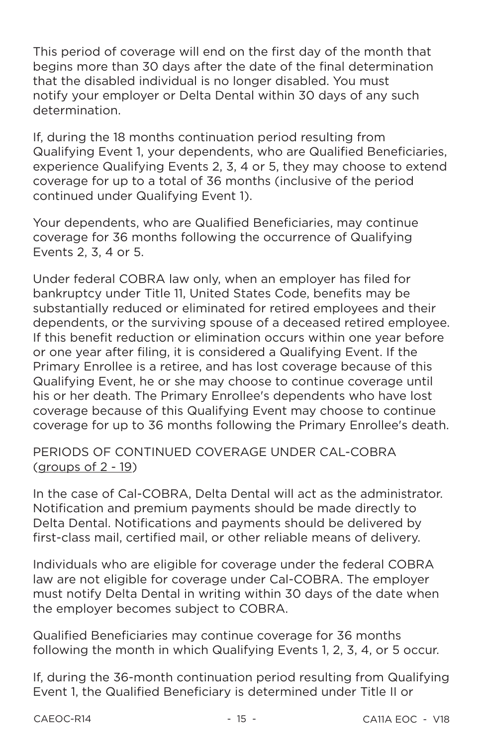This period of coverage will end on the first day of the month that begins more than 30 days after the date of the final determination that the disabled individual is no longer disabled. You must notify your employer or Delta Dental within 30 days of any such determination

If, during the 18 months continuation period resulting from Qualifying Event 1, your dependents, who are Qualified Beneficiaries, experience Qualifying Events 2, 3, 4 or 5, they may choose to extend coverage for up to a total of 36 months (inclusive of the period continued under Qualifying Event 1).

Your dependents, who are Qualified Beneficiaries, may continue coverage for 36 months following the occurrence of Qualifying Events 2, 3, 4 or 5.

Under federal COBRA law only, when an employer has filed for bankruptcy under Title 11, United States Code, benefits may be substantially reduced or eliminated for retired employees and their dependents, or the surviving spouse of a deceased retired employee. If this benefit reduction or elimination occurs within one year before or one year after filing, it is considered a Qualifying Event. If the Primary Enrollee is a retiree, and has lost coverage because of this Qualifying Event, he or she may choose to continue coverage until his or her death. The Primary Enrollee's dependents who have lost coverage because of this Qualifying Event may choose to continue coverage for up to 36 months following the Primary Enrollee's death.

#### PERIODS OF CONTINUED COVERAGE UNDER CAL-COBRA (groups of  $2 - 19$ )

In the case of Cal-COBRA, Delta Dental will act as the administrator. Notification and premium payments should be made directly to Delta Dental. Notifications and payments should be delivered by first-class mail, certified mail, or other reliable means of delivery.

Individuals who are eligible for coverage under the federal COBRA law are not eligible for coverage under Cal-COBRA. The employer must notify Delta Dental in writing within 30 days of the date when the employer becomes subject to COBRA.

Qualified Beneficiaries may continue coverage for 36 months following the month in which Qualifying Events 1, 2, 3, 4, or 5 occur.

If, during the 36-month continuation period resulting from Qualifying Event 1, the Qualified Beneficiary is determined under Title II or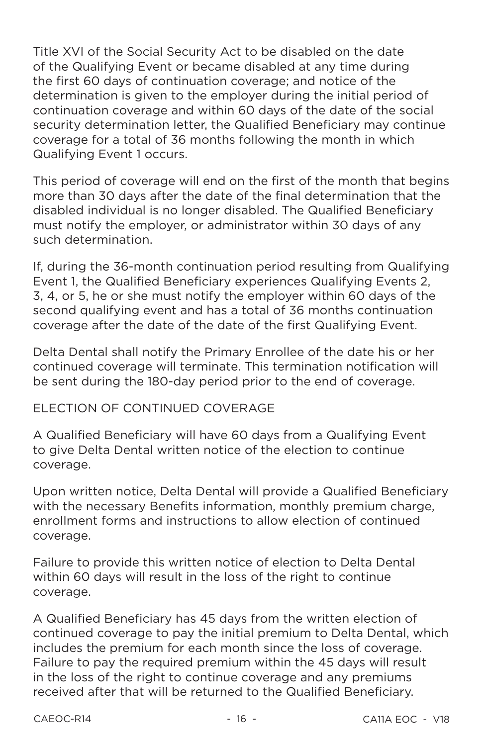Title XVI of the Social Security Act to be disabled on the date of the Qualifying Event or became disabled at any time during the first 60 days of continuation coverage: and notice of the determination is given to the employer during the initial period of continuation coverage and within 60 days of the date of the social security determination letter, the Qualified Beneficiary may continue coverage for a total of 36 months following the month in which Qualifying Event 1 occurs.

This period of coverage will end on the first of the month that begins more than 30 days after the date of the final determination that the disabled individual is no longer disabled. The Qualified Beneficiary must notify the employer, or administrator within 30 days of any such determination.

If, during the 36-month continuation period resulting from Qualifying Event 1, the Qualified Beneficiary experiences Qualifying Events 2, 3, 4, or 5, he or she must notify the employer within 60 days of the second qualifying event and has a total of 36 months continuation coverage after the date of the date of the first Qualifying Event.

Delta Dental shall notify the Primary Enrollee of the date his or her continued coverage will terminate. This termination notification will be sent during the 180-day period prior to the end of coverage.

#### FLECTION OF CONTINUED COVERAGE

A Qualified Beneficiary will have 60 days from a Qualifying Event to give Delta Dental written notice of the election to continue coverage.

Upon written notice, Delta Dental will provide a Qualified Beneficiary with the necessary Benefits information, monthly premium charge. enrollment forms and instructions to allow election of continued coverage.

Failure to provide this written notice of election to Delta Dental within 60 days will result in the loss of the right to continue coverage.

A Qualified Beneficiary has 45 days from the written election of continued coverage to pay the initial premium to Delta Dental, which includes the premium for each month since the loss of coverage. Failure to pay the required premium within the 45 days will result in the loss of the right to continue coverage and any premiums received after that will be returned to the Qualified Beneficiary.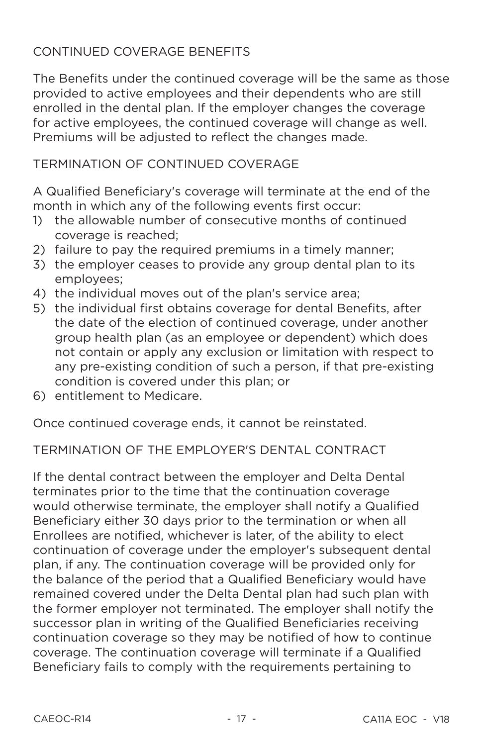#### CONTINUED COVERAGE BENEFITS

The Benefits under the continued coverage will be the same as those provided to active employees and their dependents who are still enrolled in the dental plan. If the emplover changes the coverage for active employees, the continued coverage will change as well. Premiums will be adiusted to reflect the changes made.

#### **TERMINATION OF CONTINUED COVERAGE**

A Qualified Beneficiary's coverage will terminate at the end of the month in which any of the following events first occur:

- 1) the allowable number of consecutive months of continued coverage is reached:
- 2) failure to pay the required premiums in a timely manner;
- 3) the employer ceases to provide any group dental plan to its employees:
- 4) the individual moves out of the plan's service area;
- 5) the individual first obtains coverage for dental Benefits, after the date of the election of continued coverage, under another group health plan (as an employee or dependent) which does not contain or apply any exclusion or limitation with respect to any pre-existing condition of such a person, if that pre-existing condition is covered under this plan; or
- 6) entitlement to Medicare.

Once continued coverage ends, it cannot be reinstated.

#### TERMINATION OF THE EMPLOYER'S DENTAL CONTRACT

If the dental contract between the employer and Delta Dental terminates prior to the time that the continuation coverage would otherwise terminate, the employer shall notify a Qualified Beneficiary either 30 days prior to the termination or when all Enrollees are notified, whichever is later, of the ability to elect continuation of coverage under the employer's subsequent dental plan, if any. The continuation coverage will be provided only for the balance of the period that a Qualified Beneficiary would have remained covered under the Delta Dental plan had such plan with the former employer not terminated. The employer shall notify the successor plan in writing of the Qualified Beneficiaries receiving continuation coverage so they may be notified of how to continue coverage. The continuation coverage will terminate if a Qualified Beneficiary fails to comply with the requirements pertaining to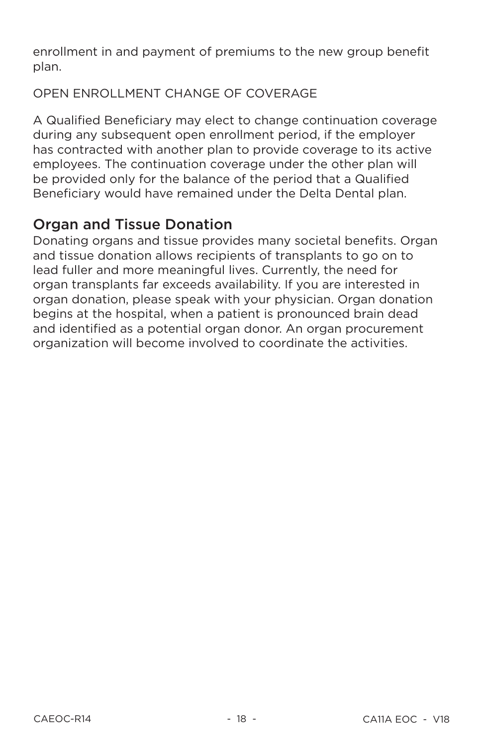enrollment in and payment of premiums to the new group benefit plan.

OPEN ENROLLMENT CHANGE OF COVERAGE

A Qualified Beneficiary may elect to change continuation coverage during any subsequent open enrollment period, if the employer has contracted with another plan to provide coverage to its active employees. The continuation coverage under the other plan will be provided only for the balance of the period that a Qualified Beneficiary would have remained under the Delta Dental plan.

# **Organ and Tissue Donation**

Donating organs and tissue provides many societal benefits. Organ and tissue donation allows recipients of transplants to go on to lead fuller and more meaningful lives. Currently, the need for organ transplants far exceeds availability. If you are interested in organ donation, please speak with your physician. Organ donation begins at the hospital, when a patient is pronounced brain dead and identified as a potential organ donor. An organ procurement organization will become involved to coordinate the activities.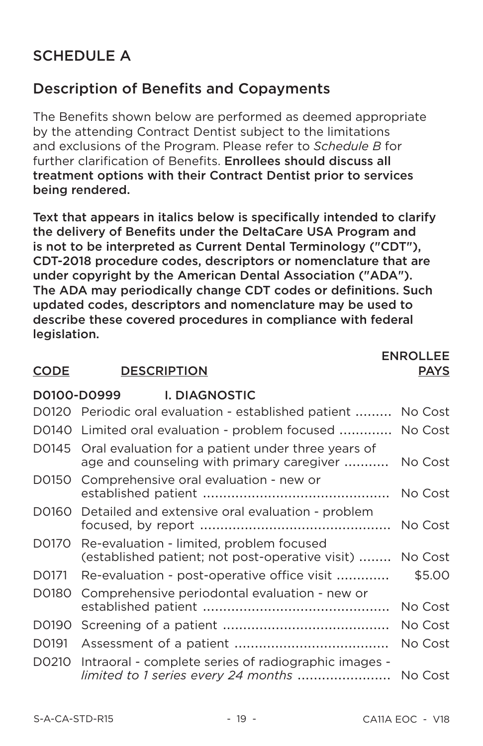# **SCHEDULE A**

# **Description of Benefits and Copayments**

The Benefits shown below are performed as deemed appropriate by the attending Contract Dentist subject to the limitations and exclusions of the Program. Please refer to Schedule B for further clarification of Benefits. Enrollees should discuss all treatment options with their Contract Dentist prior to services being rendered.

Text that appears in italics below is specifically intended to clarify the delivery of Benefits under the DeltaCare USA Program and is not to be interpreted as Current Dental Terminology ("CDT"). CDT-2018 procedure codes, descriptors or nomenclature that are under copyright by the American Dental Association ("ADA"). The ADA may periodically change CDT codes or definitions. Such updated codes, descriptors and nomenclature may be used to describe these covered procedures in compliance with federal legislation.

#### **CODE DESCRIPTION**

#### **ENROLLEE PAYS**

#### D0100-D0999 **I. DIAGNOSTIC** D0120 Periodic oral evaluation - established patient ......... No Cost D0140 Limited oral evaluation - problem focused ............. No Cost D0145 Oral evaluation for a patient under three years of age and counseling with primary caregiver .......... No Cost D0150 Comprehensive oral evaluation - new or No Cost D0160 Detailed and extensive oral evaluation - problem No Cost D0170 Re-evaluation - limited, problem focused (established patient; not post-operative visit) ........ No Cost D0171 Re-evaluation - post-operative office visit ............. \$5.00 D0180 Comprehensive periodontal evaluation - new or No Cost No Cost D0191 No Cost D0210 Intraoral - complete series of radiographic images limited to 1 series every 24 months ......................... No Cost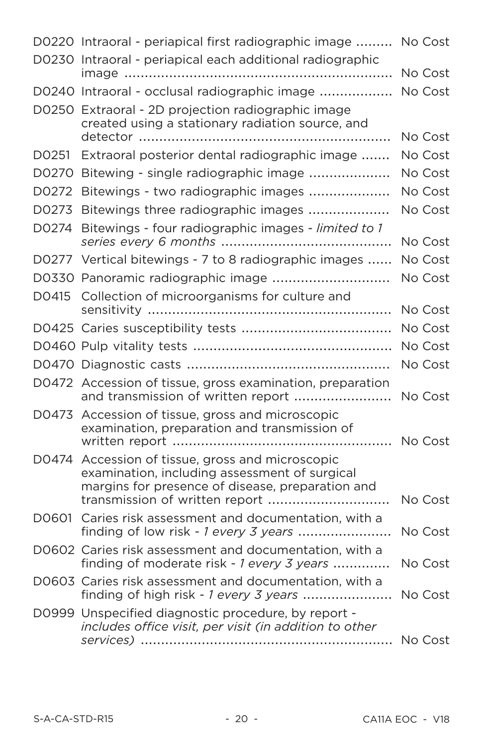|                   | D0220 Intraoral - periapical first radiographic image                                                | No Cost |
|-------------------|------------------------------------------------------------------------------------------------------|---------|
|                   | D0230 Intraoral - periapical each additional radiographic                                            | No Cost |
|                   | D0240 Intraoral - occlusal radiographic image                                                        | No Cost |
|                   | D0250 Extraoral - 2D projection radiographic image                                                   |         |
|                   | created using a stationary radiation source, and                                                     |         |
|                   |                                                                                                      | No Cost |
| D0251             | Extraoral posterior dental radiographic image                                                        | No Cost |
| D0270             | Bitewing - single radiographic image                                                                 | No Cost |
| D0272             | Bitewings - two radiographic images                                                                  | No Cost |
| D0273             | Bitewings three radiographic images                                                                  | No Cost |
| D0274             | Bitewings - four radiographic images - limited to 1                                                  | No Cost |
|                   | D0277 Vertical bitewings - 7 to 8 radiographic images                                                | No Cost |
|                   | D0330 Panoramic radiographic image                                                                   | No Cost |
| D <sub>0415</sub> | Collection of microorganisms for culture and                                                         |         |
|                   |                                                                                                      | No Cost |
|                   |                                                                                                      | No Cost |
|                   |                                                                                                      | No Cost |
|                   |                                                                                                      | No Cost |
|                   | D0472 Accession of tissue, gross examination, preparation<br>and transmission of written report      | No Cost |
|                   | D0473 Accession of tissue, gross and microscopic                                                     |         |
|                   | examination, preparation and transmission of                                                         |         |
|                   |                                                                                                      | No Cost |
|                   | D0474 Accession of tissue, gross and microscopic<br>examination, including assessment of surgical    |         |
|                   | margins for presence of disease, preparation and<br>transmission of written report                   | No Cost |
|                   | D0601 Caries risk assessment and documentation, with a                                               |         |
|                   | finding of low risk - 1 every 3 years                                                                | No Cost |
|                   | D0602 Caries risk assessment and documentation, with a<br>finding of moderate risk - 1 every 3 years | No Cost |
|                   | D0603 Caries risk assessment and documentation, with a<br>finding of high risk - 1 every 3 years     | No Cost |
|                   | D0999 Unspecified diagnostic procedure, by report -                                                  |         |
|                   | includes office visit, per visit (in addition to other                                               |         |
|                   |                                                                                                      | No Cost |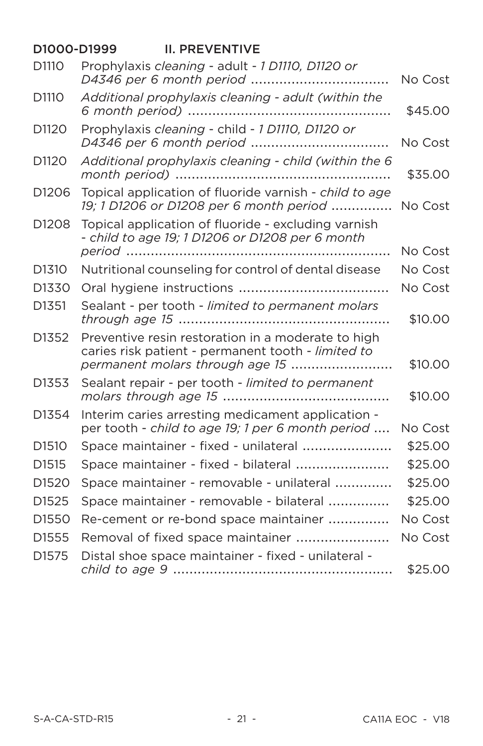#### D1000-D1999 **II. PREVENTIVE** Prophylaxis cleaning - adult - 1 D1110, D1120 or D1110 D4346 per 6 month period ................................... No Cost Additional prophylaxis cleaning - adult (within the D1110 \$45.00 Prophylaxis cleaning - child - 1 D1110, D1120 or D<sub>1120</sub> No Cost Additional prophylaxis cleaning - child (within the 6 D1120 \$35.00 Topical application of fluoride varnish - child to age D1206 19; 1 D1206 or D1208 per 6 month period .............. No Cost D<sub>1208</sub> Topical application of fluoride - excluding varnish - child to age 19; 1 D1206 or D1208 per 6 month No Cost Nutritional counseling for control of dental disease D<sub>1310</sub> No Cost No Cost Sealant - per tooth - limited to permanent molars D<sub>1351</sub> \$10.00 Preventive resin restoration in a moderate to high D<sub>1352</sub> caries risk patient - permanent tooth - limited to permanent molars through age 15 ........................... \$10.00 D<sub>1353</sub> Sealant repair - per tooth - limited to permanent \$10,00 Interim caries arresting medicament application -D1354 per tooth - child to age 19: 1 per 6 month period .... No Cost Space maintainer - fixed - unilateral ...................... D<sub>1510</sub> \$25.00 D<sub>1515</sub> Space maintainer - fixed - bilateral ....................... \$25.00 Space maintainer - removable - unilateral .............. D<sub>1520</sub> \$25.00 D<sub>1525</sub> Space maintainer - removable - bilateral ............... \$25.00 D<sub>1550</sub> Re-cement or re-bond space maintainer ............... No Cost D<sub>1555</sub> Removal of fixed space maintainer ....................... No Cost Distal shoe space maintainer - fixed - unilateral -D<sub>1575</sub>  $$2500$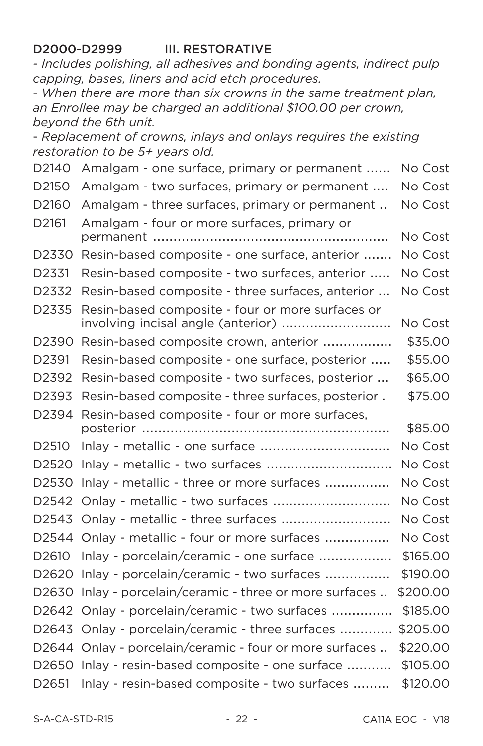#### D2000-D2999 **III. RESTORATIVE**

- Includes polishing, all adhesives and bonding agents, indirect pulp capping, bases, liners and acid etch procedures.

- When there are more than six crowns in the same treatment plan. an Enrollee may be charged an additional \$100.00 per crown. beyond the 6th unit.

- Replacement of crowns, inlays and onlays requires the existing restoration to be 5+ years old.

| D2140             | Amalgam - one surface, primary or permanent                                            | No Cost  |
|-------------------|----------------------------------------------------------------------------------------|----------|
| D2150             | Amalgam - two surfaces, primary or permanent                                           | No Cost  |
| D2160             | Amalgam - three surfaces, primary or permanent                                         | No Cost  |
| D2161             | Amalgam - four or more surfaces, primary or                                            | No Cost  |
| D2330             | Resin-based composite - one surface, anterior                                          | No Cost  |
| D2331             | Resin-based composite - two surfaces, anterior                                         | No Cost  |
| D2332             | Resin-based composite - three surfaces, anterior                                       | No Cost  |
| D2335             | Resin-based composite - four or more surfaces or<br>involving incisal angle (anterior) | No Cost  |
| D2390             | Resin-based composite crown, anterior                                                  | \$35.00  |
| D2391             | Resin-based composite - one surface, posterior                                         | \$55.00  |
| D2392             | Resin-based composite - two surfaces, posterior                                        | \$65.00  |
| D2393             | Resin-based composite - three surfaces, posterior .                                    | \$75.00  |
| D2394             | Resin-based composite - four or more surfaces,                                         | \$85.00  |
| D2510             | Inlay - metallic - one surface                                                         | No Cost  |
| D <sub>2520</sub> | Inlay - metallic - two surfaces                                                        | No Cost  |
| D <sub>2530</sub> | Inlay - metallic - three or more surfaces                                              | No Cost  |
| D2542             | Onlay - metallic - two surfaces                                                        | No Cost  |
| D2543             | Onlay - metallic - three surfaces                                                      | No Cost  |
| D2544             | Onlay - metallic - four or more surfaces                                               | No Cost  |
| D2610             | Inlay - porcelain/ceramic - one surface                                                | \$165.00 |
| D <sub>2620</sub> | Inlay - porcelain/ceramic - two surfaces                                               | \$190.00 |
| D <sub>2630</sub> | Inlay - porcelain/ceramic - three or more surfaces                                     | \$200.00 |
| D2642             | Onlay - porcelain/ceramic - two surfaces                                               | \$185.00 |
| D <sub>2643</sub> | Onlay - porcelain/ceramic - three surfaces                                             | \$205.00 |
| D2644             | Onlay - porcelain/ceramic - four or more surfaces                                      | \$220.00 |
| D <sub>2650</sub> | Inlay - resin-based composite - one surface                                            | \$105.00 |
| D2651             | Inlay - resin-based composite - two surfaces                                           | \$120.00 |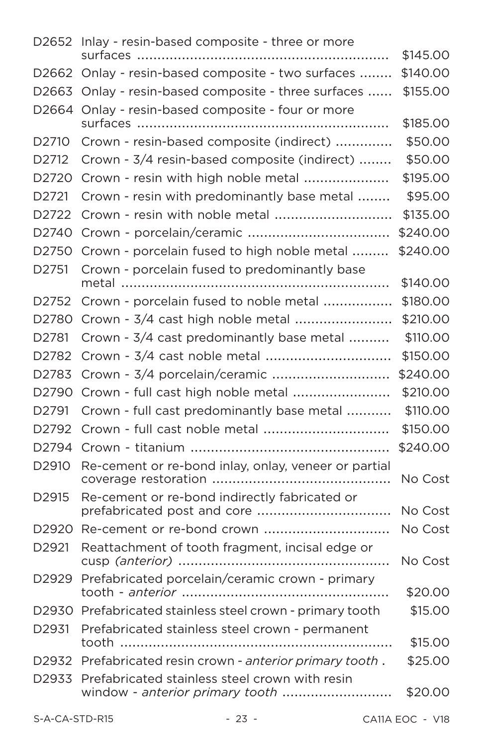|                   | D2652 Inlay - resin-based composite - three or more       |          |
|-------------------|-----------------------------------------------------------|----------|
|                   |                                                           | \$145.00 |
| D <sub>2662</sub> | Onlay - resin-based composite - two surfaces              | \$140.00 |
| D <sub>2663</sub> | Onlay - resin-based composite - three surfaces            | \$155.00 |
| D2664             | Onlay - resin-based composite - four or more              |          |
|                   |                                                           | \$185.00 |
| D <sub>2710</sub> | Crown - resin-based composite (indirect)                  | \$50.00  |
| D <sub>2712</sub> | Crown - 3/4 resin-based composite (indirect)              | \$50.00  |
| D2720             | Crown - resin with high noble metal                       | \$195.00 |
| D <sub>2721</sub> | Crown - resin with predominantly base metal               | \$95.00  |
| D2722             | Crown - resin with noble metal                            | \$135.00 |
| D <sub>2740</sub> |                                                           | \$240.00 |
| D2750             | Crown - porcelain fused to high noble metal               | \$240.00 |
| D2751             | Crown - porcelain fused to predominantly base             |          |
|                   |                                                           | \$140.00 |
| D2752             | Crown - porcelain fused to noble metal                    | \$180.00 |
| D2780             | Crown - 3/4 cast high noble metal                         | \$210.00 |
| D2781             | Crown - 3/4 cast predominantly base metal                 | \$110.00 |
| D2782             | Crown - 3/4 cast noble metal                              | \$150.00 |
| D2783             | Crown - 3/4 porcelain/ceramic                             | \$240.00 |
| D2790             | Crown - full cast high noble metal                        | \$210.00 |
| D2791             | Crown - full cast predominantly base metal                | \$110.00 |
| D2792             | Crown - full cast noble metal                             | \$150.00 |
| D2794             |                                                           | \$240.00 |
| D2910             | Re-cement or re-bond inlay, onlay, veneer or partial      | No Cost  |
| D <sub>2915</sub> | Re-cement or re-bond indirectly fabricated or             |          |
|                   | prefabricated post and core                               | No Cost  |
| D <sub>2920</sub> | Re-cement or re-bond crown                                | No Cost  |
| D2921             | Reattachment of tooth fragment, incisal edge or           | No Cost  |
|                   | D2929 Prefabricated porcelain/ceramic crown - primary     | \$20.00  |
|                   | D2930 Prefabricated stainless steel crown - primary tooth | \$15.00  |
| D <sub>2931</sub> | Prefabricated stainless steel crown - permanent           | \$15.00  |
| D2932             | Prefabricated resin crown - anterior primary tooth.       | \$25.00  |
| D2933             | Prefabricated stainless steel crown with resin            |          |
|                   |                                                           | \$20.00  |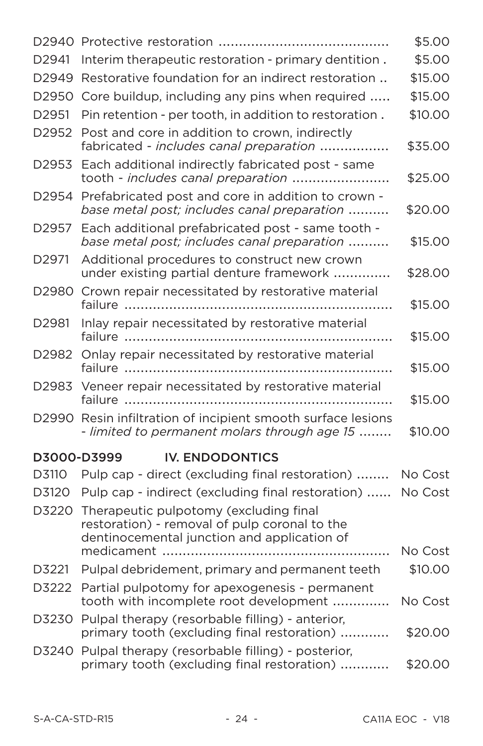|                   |                                                                                                                                        | \$5.00  |
|-------------------|----------------------------------------------------------------------------------------------------------------------------------------|---------|
| D <sub>2941</sub> | Interim therapeutic restoration - primary dentition.                                                                                   | \$5.00  |
| D2949             | Restorative foundation for an indirect restoration                                                                                     | \$15.00 |
| D2950             | Core buildup, including any pins when required                                                                                         | \$15.00 |
| D <sub>2951</sub> | Pin retention - per tooth, in addition to restoration.                                                                                 | \$10.00 |
| D2952             | Post and core in addition to crown, indirectly<br>fabricated - includes canal preparation                                              | \$35.00 |
| D2953             | Each additional indirectly fabricated post - same<br>tooth - includes canal preparation                                                | \$25.00 |
| D2954             | Prefabricated post and core in addition to crown -<br>base metal post; includes canal preparation                                      | \$20.00 |
| D2957             | Each additional prefabricated post - same tooth -<br>base metal post; includes canal preparation                                       | \$15.00 |
| D2971             | Additional procedures to construct new crown<br>under existing partial denture framework                                               | \$28.00 |
| D2980             | Crown repair necessitated by restorative material                                                                                      | \$15.00 |
| D2981             | Inlay repair necessitated by restorative material                                                                                      | \$15.00 |
| D2982             | Onlay repair necessitated by restorative material                                                                                      | \$15.00 |
| D2983             | Veneer repair necessitated by restorative material                                                                                     | \$15.00 |
| D2990             | Resin infiltration of incipient smooth surface lesions<br>- limited to permanent molars through age 15                                 | \$10.00 |
| D3000-D3999       | <b>IV. ENDODONTICS</b>                                                                                                                 |         |
| D3110             | Pulp cap - direct (excluding final restoration)                                                                                        | No Cost |
| D3120             | Pulp cap - indirect (excluding final restoration)                                                                                      | No Cost |
| D3220             | Therapeutic pulpotomy (excluding final<br>restoration) - removal of pulp coronal to the<br>dentinocemental junction and application of |         |
|                   |                                                                                                                                        | No Cost |
| D3221             | Pulpal debridement, primary and permanent teeth                                                                                        | \$10.00 |
| D3222             | Partial pulpotomy for apexogenesis - permanent<br>tooth with incomplete root development                                               | No Cost |
| D3230             | Pulpal therapy (resorbable filling) - anterior,<br>primary tooth (excluding final restoration)                                         | \$20.00 |
|                   | D3240 Pulpal therapy (resorbable filling) - posterior,<br>primary tooth (excluding final restoration)                                  | \$20.00 |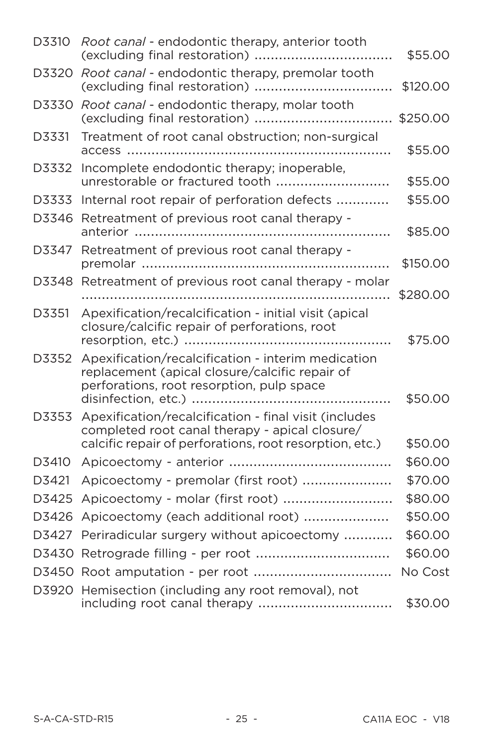| D3310 | Root canal - endodontic therapy, anterior tooth                                                                                                                    | \$55.00  |
|-------|--------------------------------------------------------------------------------------------------------------------------------------------------------------------|----------|
| D3320 | Root canal - endodontic therapy, premolar tooth                                                                                                                    | \$120.00 |
| D3330 | Root canal - endodontic therapy, molar tooth                                                                                                                       | \$250.00 |
| D3331 | Treatment of root canal obstruction; non-surgical                                                                                                                  | \$55.00  |
| D3332 | Incomplete endodontic therapy; inoperable,<br>unrestorable or fractured tooth                                                                                      | \$55.00  |
| D3333 | Internal root repair of perforation defects                                                                                                                        | \$55.00  |
| D3346 | Retreatment of previous root canal therapy -                                                                                                                       | \$85.00  |
| D3347 | Retreatment of previous root canal therapy -                                                                                                                       | \$150.00 |
| D3348 | Retreatment of previous root canal therapy - molar                                                                                                                 |          |
|       |                                                                                                                                                                    | \$280.00 |
| D3351 | Apexification/recalcification - initial visit (apical<br>closure/calcific repair of perforations, root                                                             | \$75.00  |
| D3352 | Apexification/recalcification - interim medication<br>replacement (apical closure/calcific repair of<br>perforations, root resorption, pulp space                  | \$50.00  |
| D3353 | Apexification/recalcification - final visit (includes<br>completed root canal therapy - apical closure/<br>calcific repair of perforations, root resorption, etc.) | \$50.00  |
| D3410 |                                                                                                                                                                    | \$60.00  |
| D3421 | Apicoectomy - premolar (first root)                                                                                                                                | \$70.00  |
| D3425 | Apicoectomy - molar (first root)                                                                                                                                   | \$80.00  |
| D3426 | Apicoectomy (each additional root)                                                                                                                                 | \$50.00  |
| D3427 | Periradicular surgery without apicoectomy                                                                                                                          | \$60.00  |
| D3430 |                                                                                                                                                                    | \$60.00  |
|       |                                                                                                                                                                    | No Cost  |
|       |                                                                                                                                                                    |          |
|       | D3920 Hemisection (including any root removal), not<br>including root canal therapy                                                                                | \$30.00  |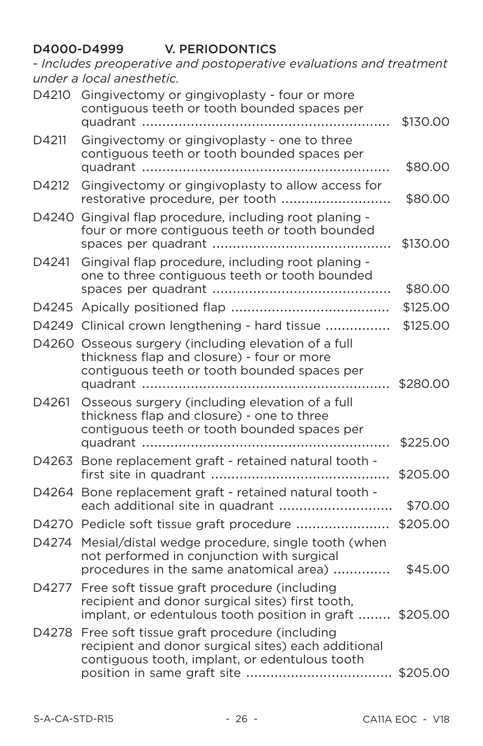### D4000-D4999 V. PERIODONTICS

- Includes preoperative and postoperative evaluations and treatment under a local anesthetic.

| D4210 | Gingivectomy or gingivoplasty - four or more<br>contiguous teeth or tooth bounded spaces per                                                                | \$130.00 |
|-------|-------------------------------------------------------------------------------------------------------------------------------------------------------------|----------|
| D4211 | Gingivectomy or gingivoplasty - one to three<br>contiguous teeth or tooth bounded spaces per                                                                | \$80.00  |
| D4212 | Gingivectomy or gingivoplasty to allow access for                                                                                                           | \$80.00  |
|       | D4240 Gingival flap procedure, including root planing -<br>four or more contiguous teeth or tooth bounded                                                   | \$130.00 |
| D4241 | Gingival flap procedure, including root planing -<br>one to three contiguous teeth or tooth bounded                                                         | \$80.00  |
|       |                                                                                                                                                             | \$125.00 |
|       | D4249 Clinical crown lengthening - hard tissue                                                                                                              | \$125.00 |
|       | D4260 Osseous surgery (including elevation of a full<br>thickness flap and closure) - four or more<br>contiguous teeth or tooth bounded spaces per          |          |
| D4261 | Osseous surgery (including elevation of a full<br>thickness flap and closure) - one to three<br>contiguous teeth or tooth bounded spaces per                | \$225.00 |
|       | D4263 Bone replacement graft - retained natural tooth -                                                                                                     | \$205.00 |
|       | D4264 Bone replacement graft - retained natural tooth -<br>each additional site in quadrant                                                                 | \$70.00  |
|       | D4270 Pedicle soft tissue graft procedure                                                                                                                   | \$205.00 |
| D4274 | Mesial/distal wedge procedure, single tooth (when<br>not performed in conjunction with surgical<br>procedures in the same anatomical area)                  | \$45.00  |
| D4277 | Free soft tissue graft procedure (including<br>recipient and donor surgical sites) first tooth,<br>implant, or edentulous tooth position in graft  \$205.00 |          |
| D4278 | Free soft tissue graft procedure (including<br>recipient and donor surgical sites) each additional<br>contiguous tooth, implant, or edentulous tooth        |          |
|       |                                                                                                                                                             |          |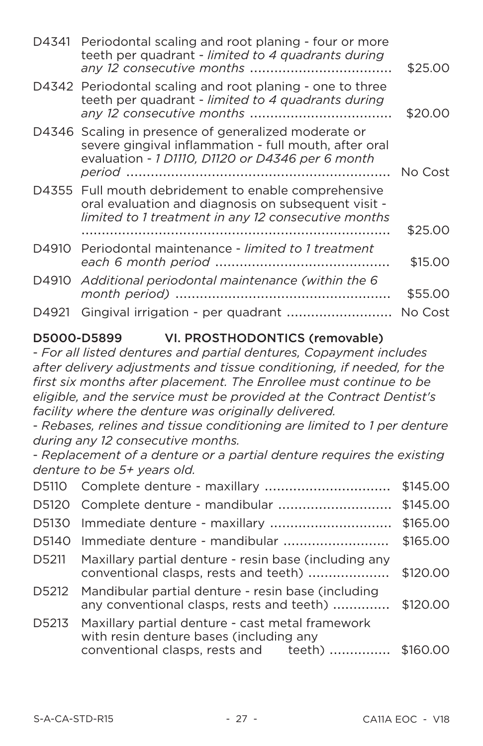|       | D4341 Periodontal scaling and root planing - four or more<br>teeth per quadrant - limited to 4 quadrants during                                                    | \$25.00 |
|-------|--------------------------------------------------------------------------------------------------------------------------------------------------------------------|---------|
|       | D4342 Periodontal scaling and root planing - one to three<br>teeth per quadrant - limited to 4 quadrants during                                                    | \$20.00 |
|       | D4346 Scaling in presence of generalized moderate or<br>severe gingival inflammation - full mouth, after oral<br>evaluation - 1 D1110, D1120 or D4346 per 6 month  | No Cost |
|       | D4355 Full mouth debridement to enable comprehensive<br>oral evaluation and diagnosis on subsequent visit -<br>limited to 1 treatment in any 12 consecutive months |         |
|       |                                                                                                                                                                    | \$25.00 |
| D4910 | Periodontal maintenance - limited to 1 treatment                                                                                                                   | \$15.00 |
|       | D4910 Additional periodontal maintenance (within the 6                                                                                                             | \$55.00 |
| D4921 | Gingival irrigation - per quadrant  No Cost                                                                                                                        |         |

### D5000-D5899 VI. PROSTHODONTICS (removable)

- For all listed dentures and partial dentures, Copayment includes after delivery adjustments and tissue conditioning, if needed, for the first six months after placement. The Enrollee must continue to be eligible, and the service must be provided at the Contract Dentist's facility where the denture was originally delivered.

- Rebases, relines and tissue conditioning are limited to 1 per denture during any 12 consecutive months.

- Replacement of a denture or a partial denture requires the existing denture to be 5+ vears old.

|       |                                                                                                 | \$145.00 |
|-------|-------------------------------------------------------------------------------------------------|----------|
|       | D5120 Complete denture - mandibular                                                             | \$145.00 |
|       |                                                                                                 | \$165.00 |
| D5140 | Immediate denture - mandibular                                                                  | \$165.00 |
| D5211 | Maxillary partial denture - resin base (including any<br>conventional clasps, rests and teeth)  | \$120.00 |
| D5212 | Mandibular partial denture - resin base (including<br>any conventional clasps, rests and teeth) | \$120,00 |
| D5213 | Maxillary partial denture - cast metal framework<br>with resin denture bases (including any     |          |
|       | conventional clasps, rests and teeth)                                                           | \$160,00 |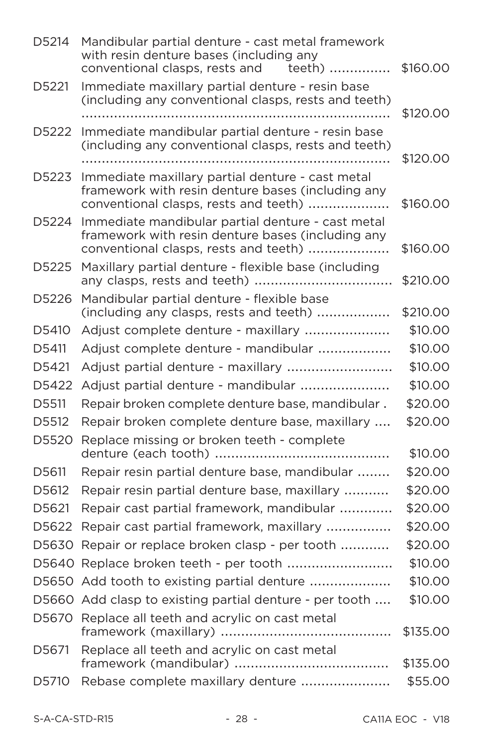| D5214 | Mandibular partial denture - cast metal framework<br>with resin denture bases (including any<br>conventional clasps, rests and<br>teeth)        | \$160.00 |
|-------|-------------------------------------------------------------------------------------------------------------------------------------------------|----------|
| D5221 | Immediate maxillary partial denture - resin base<br>(including any conventional clasps, rests and teeth)                                        | \$120.00 |
| D5222 | Immediate mandibular partial denture - resin base<br>(including any conventional clasps, rests and teeth)                                       | \$120.00 |
| D5223 | Immediate maxillary partial denture - cast metal<br>framework with resin denture bases (including any<br>conventional clasps, rests and teeth)  | \$160.00 |
| D5224 | Immediate mandibular partial denture - cast metal<br>framework with resin denture bases (including any<br>conventional clasps, rests and teeth) | \$160.00 |
| D5225 | Maxillary partial denture - flexible base (including                                                                                            | \$210.00 |
| D5226 | Mandibular partial denture - flexible base<br>(including any clasps, rests and teeth)                                                           | \$210.00 |
| D5410 | Adjust complete denture - maxillary                                                                                                             | \$10.00  |
| D5411 | Adjust complete denture - mandibular                                                                                                            | \$10.00  |
| D5421 | Adjust partial denture - maxillary                                                                                                              | \$10.00  |
| D5422 | Adjust partial denture - mandibular                                                                                                             | \$10.00  |
| D5511 | Repair broken complete denture base, mandibular.                                                                                                | \$20.00  |
| D5512 | Repair broken complete denture base, maxillary                                                                                                  | \$20.00  |
| D5520 | Replace missing or broken teeth - complete                                                                                                      | \$10.00  |
| D5611 | Repair resin partial denture base, mandibular                                                                                                   | \$20.00  |
| D5612 | Repair resin partial denture base, maxillary                                                                                                    | \$20.00  |
| D5621 | Repair cast partial framework, mandibular                                                                                                       | \$20.00  |
| D5622 | Repair cast partial framework, maxillary                                                                                                        | \$20.00  |
| D5630 | Repair or replace broken clasp - per tooth                                                                                                      | \$20.00  |
|       | D5640 Replace broken teeth - per tooth                                                                                                          | \$10.00  |
|       | D5650 Add tooth to existing partial denture                                                                                                     | \$10.00  |
|       | D5660 Add clasp to existing partial denture - per tooth                                                                                         | \$10.00  |
| D5670 | Replace all teeth and acrylic on cast metal                                                                                                     | \$135.00 |
| D5671 | Replace all teeth and acrylic on cast metal                                                                                                     | \$135.00 |
| D5710 | Rebase complete maxillary denture                                                                                                               | \$55.00  |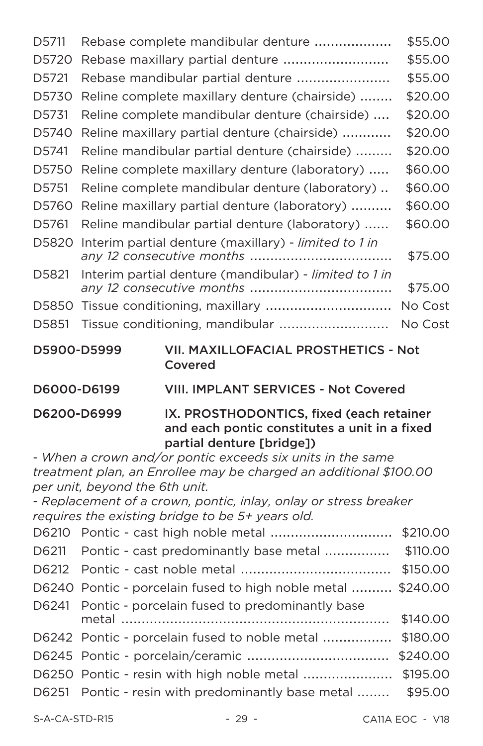| D5711                                                          |  | Rebase complete mandibular denture                     | \$55.00 |
|----------------------------------------------------------------|--|--------------------------------------------------------|---------|
| D5720                                                          |  |                                                        | \$55.00 |
| D5721                                                          |  | Rebase mandibular partial denture                      | \$55.00 |
| D5730                                                          |  | Reline complete maxillary denture (chairside)          | \$20.00 |
| D5731                                                          |  | Reline complete mandibular denture (chairside)         | \$20.00 |
| D5740                                                          |  | Reline maxillary partial denture (chairside)           | \$20.00 |
| D5741                                                          |  | Reline mandibular partial denture (chairside)          | \$20.00 |
| D5750                                                          |  | Reline complete maxillary denture (laboratory)         | \$60.00 |
| D5751                                                          |  | Reline complete mandibular denture (laboratory)        | \$60.00 |
| D5760                                                          |  | Reline maxillary partial denture (laboratory)          | \$60.00 |
| D5761                                                          |  | Reline mandibular partial denture (laboratory)         | \$60.00 |
| D5820                                                          |  | Interim partial denture (maxillary) - limited to 1 in  | \$75.00 |
| D5821                                                          |  | Interim partial denture (mandibular) - limited to 1 in | \$75.00 |
| D5850                                                          |  | Tissue conditioning, maxillary                         | No Cost |
| D5851                                                          |  | Tissue conditioning, mandibular                        | No Cost |
| VII. MAXILLOFACIAL PROSTHETICS - Not<br>D5900-D5999<br>Covered |  |                                                        |         |
| D6000-D6199                                                    |  | <b>VIII. IMPLANT SERVICES - Not Covered</b>            |         |

IX. PROSTHODONTICS, fixed (each retainer D6200-D6999 and each pontic constitutes a unit in a fixed partial denture [bridge])

- When a crown and/or pontic exceeds six units in the same treatment plan, an Enrollee may be charged an additional \$100.00 per unit, beyond the 6th unit.

- Replacement of a crown, pontic, inlay, onlay or stress breaker requires the existing bridge to be 5+ years old.

| D6211 Pontic - cast predominantly base metal                 | \$110.00 |
|--------------------------------------------------------------|----------|
|                                                              | \$150.00 |
| D6240 Pontic - porcelain fused to high noble metal  \$240.00 |          |
| D6241 Pontic - porcelain fused to predominantly base         |          |
|                                                              | \$140.00 |
|                                                              | \$180.00 |
|                                                              |          |
|                                                              | \$195.00 |
| D6251 Pontic - resin with predominantly base metal  \$95.00  |          |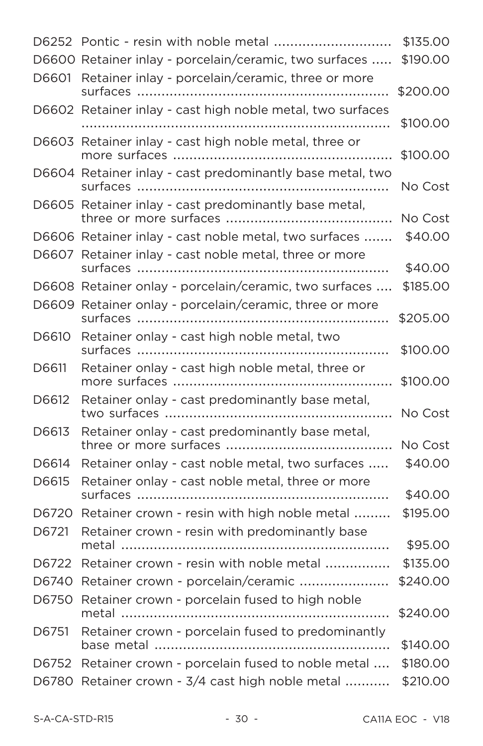|       | D6252 Pontic - resin with noble metal                      | \$135.00 |
|-------|------------------------------------------------------------|----------|
|       | D6600 Retainer inlay - porcelain/ceramic, two surfaces     | \$190.00 |
| D6601 | Retainer inlay - porcelain/ceramic, three or more          | \$200.00 |
|       | D6602 Retainer inlay - cast high noble metal, two surfaces |          |
|       |                                                            | \$100.00 |
|       | D6603 Retainer inlay - cast high noble metal, three or     | \$100.00 |
|       | D6604 Retainer inlay - cast predominantly base metal, two  | No Cost  |
|       | D6605 Retainer inlay - cast predominantly base metal,      | No Cost  |
|       | D6606 Retainer inlay - cast noble metal, two surfaces      | \$40.00  |
|       | D6607 Retainer inlay - cast noble metal, three or more     | \$40.00  |
|       | D6608 Retainer onlay - porcelain/ceramic, two surfaces     | \$185.00 |
|       | D6609 Retainer onlay - porcelain/ceramic, three or more    |          |
|       |                                                            | \$205.00 |
| D6610 | Retainer onlay - cast high noble metal, two                | \$100.00 |
| D6611 | Retainer onlay - cast high noble metal, three or           | \$100.00 |
| D6612 | Retainer onlay - cast predominantly base metal,            | No Cost  |
| D6613 | Retainer onlay - cast predominantly base metal,            | No Cost  |
| D6614 | Retainer onlay - cast noble metal, two surfaces            | \$40.00  |
| D6615 | Retainer onlay - cast noble metal, three or more           |          |
|       |                                                            | \$40.00  |
| D6720 | Retainer crown - resin with high noble metal               | \$195.00 |
| D6721 | Retainer crown - resin with predominantly base             | \$95.00  |
|       | D6722 Retainer crown - resin with noble metal              | \$135.00 |
|       | D6740 Retainer crown - porcelain/ceramic                   | \$240.00 |
| D6750 | Retainer crown - porcelain fused to high noble<br>metal    | \$240.00 |
| D6751 | Retainer crown - porcelain fused to predominantly          |          |
|       |                                                            | \$140.00 |
| D6752 | Retainer crown - porcelain fused to noble metal            | \$180.00 |
|       | D6780 Retainer crown - 3/4 cast high noble metal           | \$210.00 |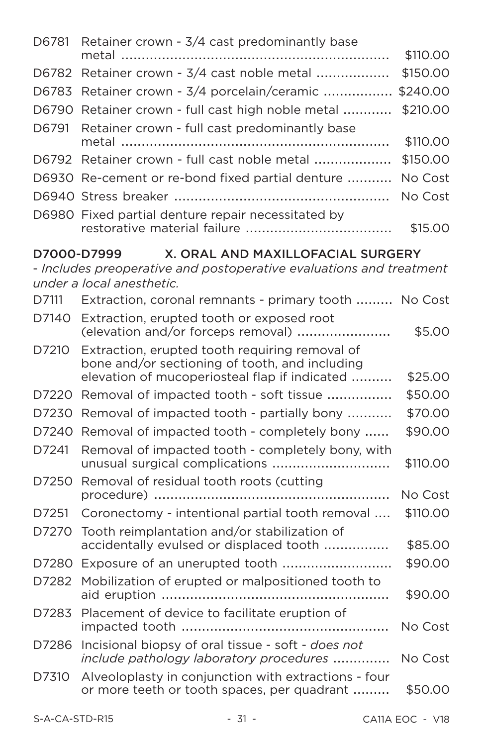| D6781 Retainer crown - 3/4 cast predominantly base  |          |
|-----------------------------------------------------|----------|
|                                                     | \$110.00 |
| D6782 Retainer crown - 3/4 cast noble metal         | \$150.00 |
| D6783 Retainer crown - 3/4 porcelain/ceramic        | \$240.00 |
| D6790 Retainer crown - full cast high noble metal   | \$210.00 |
| D6791 Retainer crown - full cast predominantly base |          |
|                                                     | \$110.00 |
| D6792 Retainer crown - full cast noble metal        | \$150.00 |
| D6930 Re-cement or re-bond fixed partial denture    | No Cost  |
|                                                     | No Cost  |
| D6980 Fixed partial denture repair necessitated by  | \$15,00  |

# D7000-D7999 X. ORAL AND MAXILLOFACIAL SURGERY

- Includes preoperative and postoperative evaluations and treatment under a local anesthetic.

| D7111 | Extraction, coronal remnants - primary tooth  No Cost                                                                                             |          |
|-------|---------------------------------------------------------------------------------------------------------------------------------------------------|----------|
| D7140 | Extraction, erupted tooth or exposed root<br>(elevation and/or forceps removal)                                                                   | \$5.00   |
| D7210 | Extraction, erupted tooth requiring removal of<br>bone and/or sectioning of tooth, and including<br>elevation of mucoperiosteal flap if indicated | \$25.00  |
| D7220 | Removal of impacted tooth - soft tissue                                                                                                           | \$50.00  |
| D7230 | Removal of impacted tooth - partially bony                                                                                                        | \$70.00  |
| D7240 | Removal of impacted tooth - completely bony                                                                                                       | \$90.00  |
| D7241 | Removal of impacted tooth - completely bony, with<br>unusual surgical complications                                                               | \$110.00 |
| D7250 | Removal of residual tooth roots (cutting                                                                                                          | No Cost  |
| D7251 | Coronectomy - intentional partial tooth removal                                                                                                   | \$110.00 |
| D7270 | Tooth reimplantation and/or stabilization of<br>accidentally evulsed or displaced tooth                                                           | \$85,00  |
| D7280 | Exposure of an unerupted tooth                                                                                                                    | \$90.00  |
| D7282 | Mobilization of erupted or malpositioned tooth to                                                                                                 | \$90.00  |
| D7283 | Placement of device to facilitate eruption of                                                                                                     | No Cost  |
| D7286 | Incisional biopsy of oral tissue - soft - does not<br>include pathology laboratory procedures                                                     | No Cost  |
| D7310 | Alveoloplasty in conjunction with extractions - four<br>or more teeth or tooth spaces, per quadrant                                               | \$50.00  |
|       |                                                                                                                                                   |          |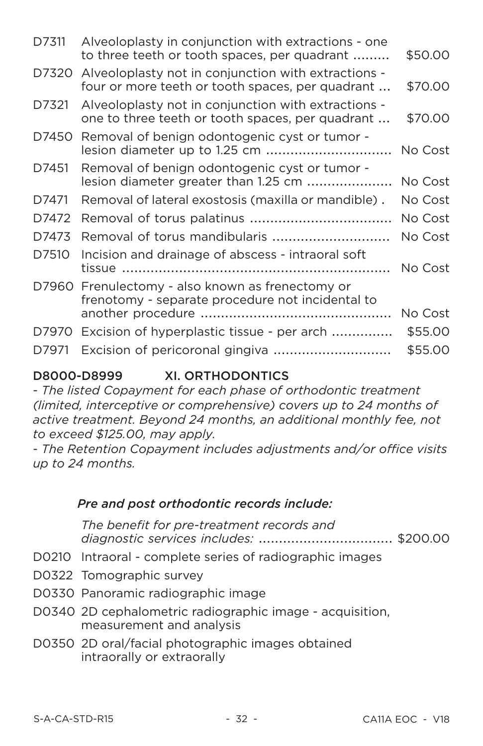| D7311 | Alveoloplasty in conjunction with extractions - one<br>to three teeth or tooth spaces, per quadrant     | \$50.00 |
|-------|---------------------------------------------------------------------------------------------------------|---------|
| D7320 | Alveoloplasty not in conjunction with extractions -<br>four or more teeth or tooth spaces, per quadrant | \$70.00 |
| D7321 | Alveoloplasty not in conjunction with extractions -<br>one to three teeth or tooth spaces, per quadrant | \$70.00 |
| D7450 | Removal of benign odontogenic cyst or tumor -                                                           | No Cost |
| D7451 | Removal of benign odontogenic cyst or tumor -<br>lesion diameter greater than 1.25 cm                   | No Cost |
| D7471 | Removal of lateral exostosis (maxilla or mandible).                                                     | No Cost |
| D7472 |                                                                                                         | No Cost |
| D7473 | Removal of torus mandibularis                                                                           | No Cost |
| D7510 | Incision and drainage of abscess - intraoral soft                                                       | No Cost |
| D7960 | Frenulectomy - also known as frenectomy or<br>frenotomy - separate procedure not incidental to          |         |
|       |                                                                                                         | No Cost |
| D7970 | Excision of hyperplastic tissue - per arch                                                              | \$55.00 |
| D7971 | Excision of pericoronal gingiva                                                                         | \$55.00 |

#### D8000-D8999 **XI. ORTHODONTICS**

- The listed Copayment for each phase of orthodontic treatment (limited, interceptive or comprehensive) covers up to 24 months of active treatment. Beyond 24 months, an additional monthly fee, not to exceed \$125,00, may apply.

- The Retention Copayment includes adjustments and/or office visits up to 24 months.

#### Pre and post orthodontic records include:

The benefit for pre-treatment records and diagnostic services includes: .................................. \$200.00

- D0210 Intraoral complete series of radiographic images
- D0322 Tomographic survey
- D0330 Panoramic radiographic image
- D0340 2D cephalometric radiographic image acquisition, measurement and analysis
- D0350 2D oral/facial photographic images obtained intraorally or extraorally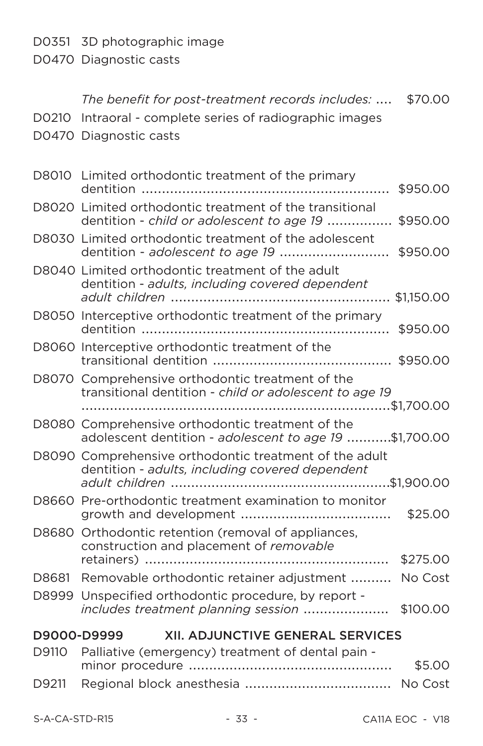D0351 3D photographic image

D0470 Diagnostic casts

|                                                        | D0210 Intraoral - complete series of radiographic images                                                         |  |
|--------------------------------------------------------|------------------------------------------------------------------------------------------------------------------|--|
|                                                        | D0470 Diagnostic casts                                                                                           |  |
|                                                        | D8010 Limited orthodontic treatment of the primary<br>\$950.00                                                   |  |
|                                                        | D8020 Limited orthodontic treatment of the transitional<br>dentition - child or adolescent to age 19<br>\$950.00 |  |
|                                                        | D8030 Limited orthodontic treatment of the adolescent<br>dentition - adolescent to age 19<br>\$950.00            |  |
|                                                        | D8040 Limited orthodontic treatment of the adult<br>dentition - adults, including covered dependent              |  |
|                                                        | D8050 Interceptive orthodontic treatment of the primary<br>\$950,00                                              |  |
|                                                        | D8060 Interceptive orthodontic treatment of the                                                                  |  |
|                                                        | D8070 Comprehensive orthodontic treatment of the<br>transitional dentition - child or adolescent to age 19       |  |
|                                                        |                                                                                                                  |  |
|                                                        | D8080 Comprehensive orthodontic treatment of the<br>adolescent dentition - adolescent to age 19 \$1,700.00       |  |
|                                                        | D8090 Comprehensive orthodontic treatment of the adult<br>dentition - adults, including covered dependent        |  |
|                                                        | D8660 Pre-orthodontic treatment examination to monitor<br>\$25.00                                                |  |
| D8680                                                  | Orthodontic retention (removal of appliances,<br>construction and placement of removable<br>\$275.00             |  |
| D8681                                                  | Removable orthodontic retainer adjustment<br>No Cost                                                             |  |
| D8999                                                  | Unspecified orthodontic procedure, by report -<br>includes treatment planning session<br>\$100.00                |  |
| <b>XII. ADJUNCTIVE GENERAL SERVICES</b><br>D9000-D9999 |                                                                                                                  |  |
| D9110                                                  | Palliative (emergency) treatment of dental pain -                                                                |  |
|                                                        | \$5.00                                                                                                           |  |
| D9211                                                  | No Cost                                                                                                          |  |

The benefit for post-treatment records includes: .... \$70.00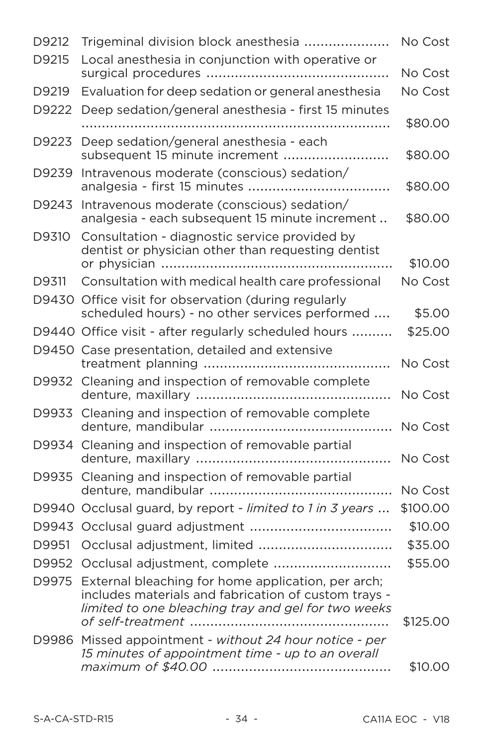| D9212 | Trigeminal division block anesthesia                                                                                                                                    | No Cost  |
|-------|-------------------------------------------------------------------------------------------------------------------------------------------------------------------------|----------|
| D9215 | Local anesthesia in conjunction with operative or                                                                                                                       |          |
|       |                                                                                                                                                                         | No Cost  |
| D9219 | Evaluation for deep sedation or general anesthesia                                                                                                                      | No Cost  |
| D9222 | Deep sedation/general anesthesia - first 15 minutes                                                                                                                     |          |
|       |                                                                                                                                                                         | \$80.00  |
| D9223 | Deep sedation/general anesthesia - each<br>subsequent 15 minute increment                                                                                               | \$80.00  |
| D9239 | Intravenous moderate (conscious) sedation/                                                                                                                              | \$80.00  |
| D9243 | Intravenous moderate (conscious) sedation/<br>analgesia - each subsequent 15 minute increment                                                                           | \$80.00  |
| D9310 | Consultation - diagnostic service provided by<br>dentist or physician other than requesting dentist                                                                     | \$10.00  |
| D9311 | Consultation with medical health care professional                                                                                                                      | No Cost  |
|       | D9430 Office visit for observation (during regularly                                                                                                                    |          |
|       | scheduled hours) - no other services performed                                                                                                                          | \$5.00   |
|       | D9440 Office visit - after regularly scheduled hours                                                                                                                    | \$25.00  |
|       | D9450 Case presentation, detailed and extensive                                                                                                                         | No Cost  |
|       | D9932 Cleaning and inspection of removable complete                                                                                                                     | No Cost  |
|       | D9933 Cleaning and inspection of removable complete                                                                                                                     | No Cost  |
|       | D9934 Cleaning and inspection of removable partial                                                                                                                      | No Cost  |
|       | D9935 Cleaning and inspection of removable partial<br>denture, mandibular                                                                                               | No Cost  |
|       | D9940 Occlusal guard, by report - limited to 1 in 3 years                                                                                                               | \$100.00 |
|       |                                                                                                                                                                         | \$10.00  |
| D9951 | Occlusal adjustment, limited                                                                                                                                            | \$35.00  |
|       | D9952 Occlusal adjustment, complete                                                                                                                                     | \$55.00  |
|       | D9975 External bleaching for home application, per arch;<br>includes materials and fabrication of custom trays -<br>limited to one bleaching tray and gel for two weeks |          |
|       | of self-treatment                                                                                                                                                       | \$125.00 |
|       | D9986 Missed appointment - without 24 hour notice - per<br>15 minutes of appointment time - up to an overall                                                            | \$10.00  |
|       |                                                                                                                                                                         |          |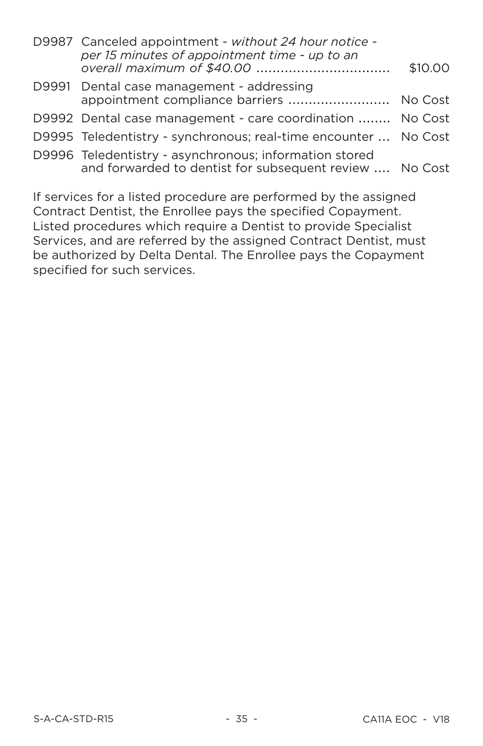| per 15 minutes of appointment time - up to an | \$10,00                                                                                                                                                                                                                                                                                                                                                                                             |
|-----------------------------------------------|-----------------------------------------------------------------------------------------------------------------------------------------------------------------------------------------------------------------------------------------------------------------------------------------------------------------------------------------------------------------------------------------------------|
|                                               |                                                                                                                                                                                                                                                                                                                                                                                                     |
|                                               |                                                                                                                                                                                                                                                                                                                                                                                                     |
|                                               |                                                                                                                                                                                                                                                                                                                                                                                                     |
|                                               |                                                                                                                                                                                                                                                                                                                                                                                                     |
|                                               | D9987 Canceled appointment - without 24 hour notice -<br>D9991 Dental case management - addressing<br>appointment compliance barriers  No Cost<br>D9992 Dental case management - care coordination  No Cost<br>D9995 Teledentistry - synchronous; real-time encounter  No Cost<br>D9996 Teledentistry - asynchronous; information stored<br>and forwarded to dentist for subsequent review  No Cost |

If services for a listed procedure are performed by the assigned Contract Dentist, the Enrollee pays the specified Copayment. Listed procedures which require a Dentist to provide Specialist Services, and are referred by the assigned Contract Dentist, must be authorized by Delta Dental. The Enrollee pays the Copayment specified for such services.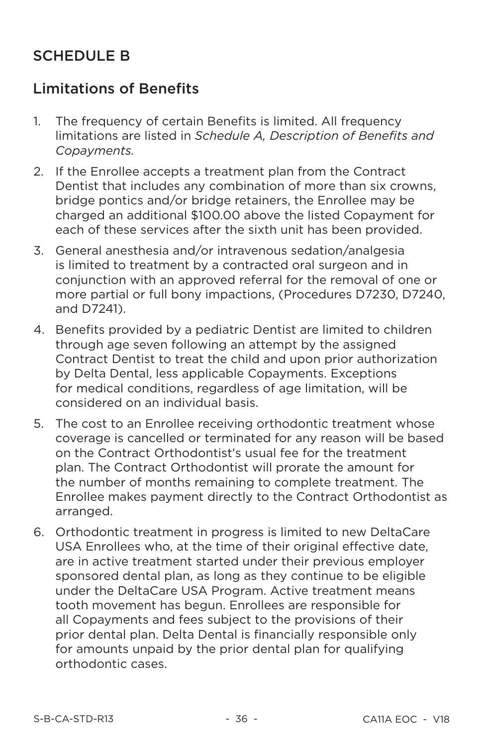# **SCHEDULE B**

# **Limitations of Benefits**

- The frequency of certain Benefits is limited. All frequency  $\mathbf{1}$ limitations are listed in Schedule A. Description of Benefits and Copayments.
- $2<sub>1</sub>$ If the Enrollee accepts a treatment plan from the Contract Dentist that includes any combination of more than six crowns. bridge pontics and/or bridge retainers, the Enrollee may be charged an additional \$100.00 above the listed Copayment for each of these services after the sixth unit has been provided.
- 3. General anesthesia and/or intravenous sedation/analgesia is limited to treatment by a contracted oral surgeon and in conjunction with an approved referral for the removal of one or more partial or full bony impactions, (Procedures D7230, D7240, and D7241).
- 4. Benefits provided by a pediatric Dentist are limited to children through age seven following an attempt by the assigned Contract Dentist to treat the child and upon prior authorization by Delta Dental, less applicable Copayments. Exceptions for medical conditions, regardless of age limitation, will be considered on an individual basis
- 5. The cost to an Enrollee receiving orthodontic treatment whose coverage is cancelled or terminated for any reason will be based on the Contract Orthodontist's usual fee for the treatment plan. The Contract Orthodontist will prorate the amount for the number of months remaining to complete treatment. The Enrollee makes payment directly to the Contract Orthodontist as arranged.
- 6. Orthodontic treatment in progress is limited to new DeltaCare USA Enrollees who, at the time of their original effective date, are in active treatment started under their previous employer sponsored dental plan, as long as they continue to be eligible under the DeltaCare USA Program. Active treatment means tooth movement has begun. Enrollees are responsible for all Copayments and fees subject to the provisions of their prior dental plan. Delta Dental is financially responsible only for amounts unpaid by the prior dental plan for qualifying orthodontic cases.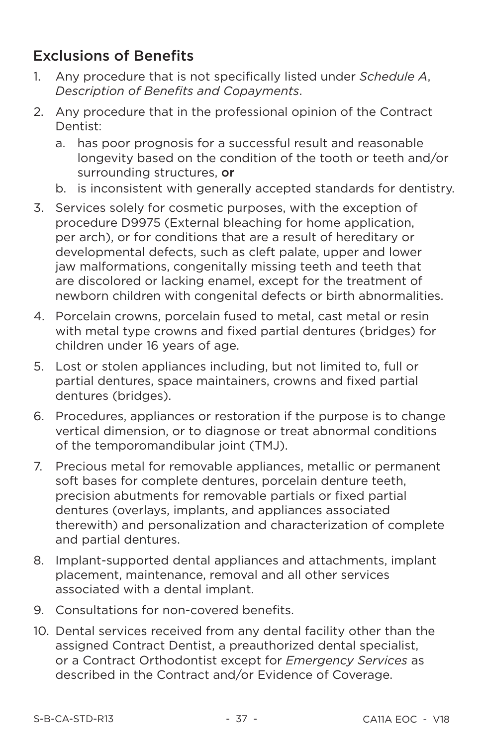# **Exclusions of Benefits**

- Any procedure that is not specifically listed under Schedule A,  $1_{-}$ Description of Benefits and Copayments.
- Any procedure that in the professional opinion of the Contract  $2^{2}$ Dentist:
	- has poor prognosis for a successful result and reasonable a. longevity based on the condition of the tooth or teeth and/or surrounding structures, or
	- b. is inconsistent with generally accepted standards for dentistry.
- 3. Services solely for cosmetic purposes, with the exception of procedure D9975 (External bleaching for home application. per arch), or for conditions that are a result of hereditary or developmental defects, such as cleft palate, upper and lower jaw malformations, congenitally missing teeth and teeth that are discolored or lacking enamel, except for the treatment of newborn children with congenital defects or birth abnormalities.
- Porcelain crowns, porcelain fused to metal, cast metal or resin 4. with metal type crowns and fixed partial dentures (bridges) for children under 16 years of age.
- 5. Lost or stolen appliances including, but not limited to, full or partial dentures, space maintainers, crowns and fixed partial dentures (bridges).
- 6. Procedures, appliances or restoration if the purpose is to change vertical dimension, or to diagnose or treat abnormal conditions of the temporomandibular joint (TMJ).
- Precious metal for removable appliances, metallic or permanent  $7<sub>1</sub>$ soft bases for complete dentures, porcelain denture teeth. precision abutments for removable partials or fixed partial dentures (overlays, implants, and appliances associated therewith) and personalization and characterization of complete and partial dentures.
- 8. Implant-supported dental appliances and attachments, implant placement, maintenance, removal and all other services associated with a dental implant.
- 9. Consultations for non-covered benefits.
- 10. Dental services received from any dental facility other than the assigned Contract Dentist, a preauthorized dental specialist, or a Contract Orthodontist except for Emergency Services as described in the Contract and/or Evidence of Coverage.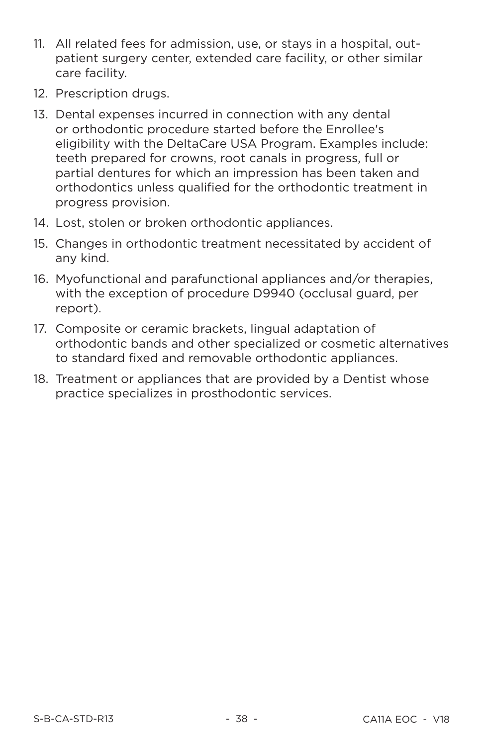- 11. All related fees for admission, use, or stays in a hospital, outpatient surgery center, extended care facility, or other similar care facility.
- 12. Prescription drugs.
- 13. Dental expenses incurred in connection with any dental or orthodontic procedure started before the Enrollee's eligibility with the DeltaCare USA Program. Examples include: teeth prepared for crowns, root canals in progress, full or partial dentures for which an impression has been taken and orthodontics unless qualified for the orthodontic treatment in progress provision.
- 14. Lost, stolen or broken orthodontic appliances.
- 15. Changes in orthodontic treatment necessitated by accident of any kind.
- 16. Myofunctional and parafunctional appliances and/or therapies, with the exception of procedure D9940 (occlusal guard, per report).
- 17. Composite or ceramic brackets, lingual adaptation of orthodontic bands and other specialized or cosmetic alternatives to standard fixed and removable orthodontic appliances.
- 18. Treatment or appliances that are provided by a Dentist whose practice specializes in prosthodontic services.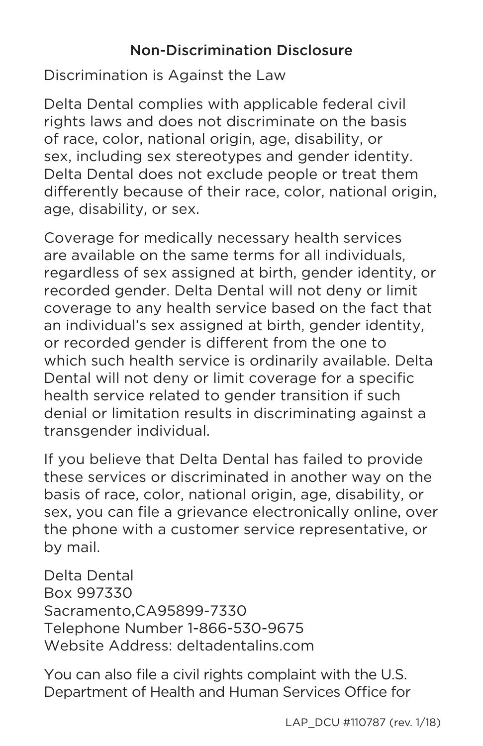# Non-Discrimination Disclosure

Discrimination is Against the Law

Delta Dental complies with applicable federal civil rights laws and does not discriminate on the basis of race, color, national origin, age, disability, or sex, including sex stereotypes and gender identity. Delta Dental does not exclude people or treat them differently because of their race, color, national origin, age, disability, or sex.

Coverage for medically necessary health services are available on the same terms for all individuals, regardless of sex assigned at birth, gender identity, or recorded gender. Delta Dental will not deny or limit coverage to any health service based on the fact that an individual's sex assigned at birth, gender identity, or recorded gender is different from the one to which such health service is ordinarily available. Delta Dental will not deny or limit coverage for a specific health service related to gender transition if such denial or limitation results in discriminating against a transgender individual.

If you believe that Delta Dental has failed to provide these services or discriminated in another way on the basis of race, color, national origin, age, disability, or sex, you can file a grievance electronically online, over the phone with a customer service representative, or by mail.

Delta Dental Box 997330 Sacramento,CA95899-7330 Telephone Number 1-866-530-9675 Website Address: deltadentalins.com

You can also file a civil rights complaint with the U.S. Department of Health and Human Services Office for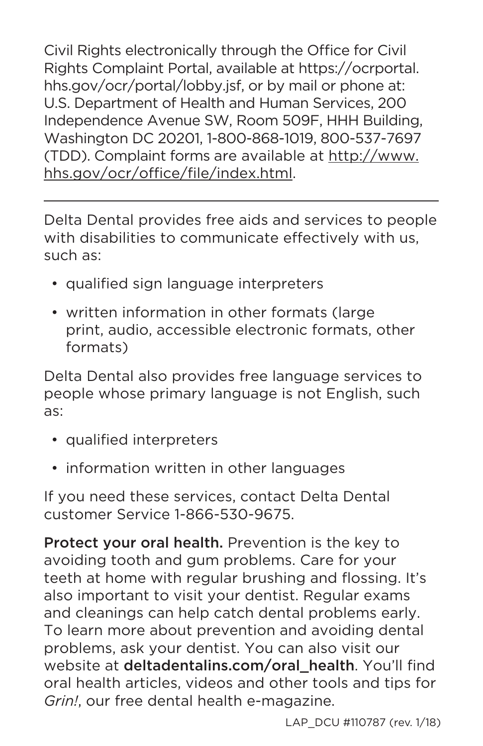Civil Rights electronically through the Office for Civil Rights Complaint Portal, available at https://ocrportal. hhs.gov/ocr/portal/lobby.jsf, or by mail or phone at: U.S. Department of Health and Human Services, 200 Independence Avenue SW, Room 509F, HHH Building, Washington DC 20201, 1-800-868-1019, 800-537-7697 (TDD). Complaint forms are available at http://www. hhs.gov/ocr/office/file/index.html.

Delta Dental provides free aids and services to people with disabilities to communicate effectively with us, such as:

- qualified sign language interpreters
- written information in other formats (large print, audio, accessible electronic formats, other formats)

Delta Dental also provides free language services to people whose primary language is not English, such as:

- qualified interpreters
- information written in other languages

If you need these services, contact Delta Dental customer Service 1-866-530-9675.

Protect your oral health. Prevention is the key to avoiding tooth and gum problems. Care for your teeth at home with regular brushing and flossing. It's also important to visit your dentist. Regular exams and cleanings can help catch dental problems early. To learn more about prevention and avoiding dental problems, ask your dentist. You can also visit our website at deltadentalins.com/oral\_health. You'll find oral health articles, videos and other tools and tips for *Grin!*, our free dental health e-magazine.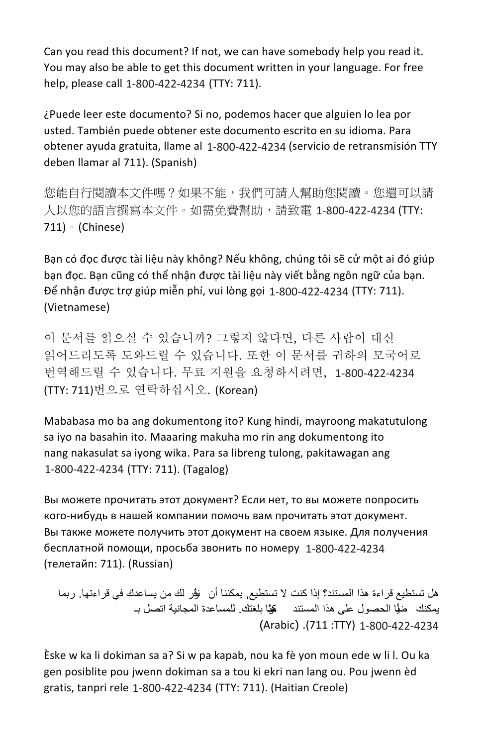Can you read this document? If not, we can have somebody help you read it. You may also be able to get this document written in your language. For free help, please call 1-800-422-4234 (TTY: 711).

¿Puede leer este documento? Si no, podemos hacer que alguien lo lea por usted. También puede obtener este documento escrito en su idioma. Para obtener ayuda gratuita, llame al 1-800-422-4234 (servicio de retransmisión TTY deben llamar al 711). (Spanish)

您能自行閱讀本文件嗎?如果不能,我們可請人幫助您閱讀。您還可以請 人以您的語言撰寫本文件。如需免費幫助,請致電 1-800-422-4234 (TTY:  $711) \cdot$  (Chinese)

Bạn có đọc được tài liệu này không? Nếu không, chúng tôi sẽ cử một ai đó giúp ban đọc. Ban cũng có thể nhân được tài liêu này viết bằng ngôn ngữ của ban. Để nhận được trợ giúp miễn phí, vui lòng gọi 1-800-422-4234 (TTY: 711). (Vietnamese)

이 문서를 읽으실 수 있습니까? 그렇지 않다면, 다른 사람이 대신 읽어드리도록 도와드릴 수 있습니다. 또한 이 문서를 귀하의 모국어로 번역해드릴 수 있습니다. 무료 지워을 요청하시려면. 1-800-422-4234 (TTY: 711)번으로 연락하십시오. (Korean)

Mababasa mo ba ang dokumentong ito? Kung hindi, mayroong makatutulong sa iyo na basahin ito. Maaaring makuha mo rin ang dokumentong ito nang nakasulat sa iyong wika. Para sa libreng tulong, pakitawagan ang 1-800-422-4234 (TTY: 711). (Tagalog)

Вы можете прочитать этот документ? Если нет, то вы можете попросить кого-нибудь в нашей компании помочь вам прочитать этот документ. Вы также можете получить этот документ на своем языке. Для получения бесплатной помощи, просьба звонить по номеру 1-800-422-4234 (телетайп: 711). (Russian)

هل تستطيع قراءة هذا المستند؟ إذا كنت لا تستطيع. يمكننا أن يؤر لك من يساعدك في قراءتها. ربما يمكنك ضيًّا الحصول على هذا المستند وبَّا بلغتك. للمساعدة المجانية اتصل بــ (Arabic) .(711:TTY) 1-800-422-4234

Èske w ka li dokiman sa a? Si w pa kapab, nou ka fè yon moun ede w li l. Ou ka gen posiblite pou jwenn dokiman sa a tou ki ekri nan lang ou. Pou jwenn èd gratis, tanpri rele 1-800-422-4234 (TTY: 711). (Haitian Creole)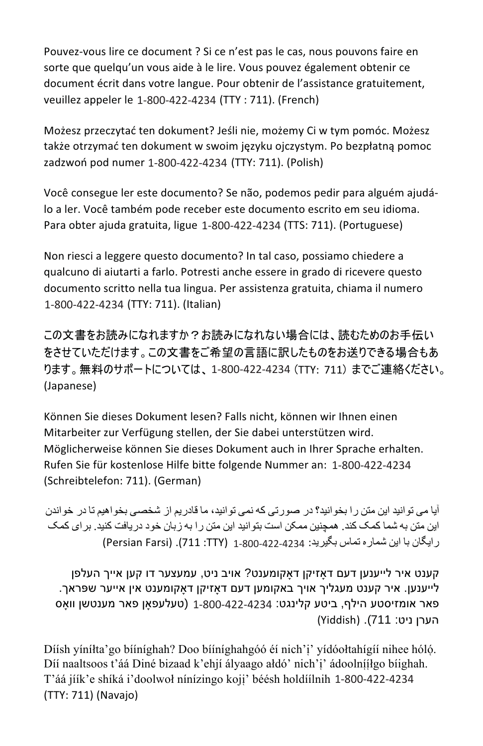Pouvez-vous lire ce document ? Si ce n'est pas le cas, nous pouvons faire en sorte que quelqu'un vous aide à le lire. Vous pouvez également obtenir ce document écrit dans votre langue. Pour obtenir de l'assistance gratuitement, veuillez appeler le 1-800-422-4234 (TTY : 711). (French)

Możesz przeczytać ten dokument? Jeśli nie, możemy Ci w tym pomóc. Możesz także otrzymać ten dokument w swoim języku ojczystym. Po bezpłatną pomoc zadzwoń pod numer 1-800-422-4234 (TTY: 711). (Polish)

Você consegue ler este documento? Se não, podemos pedir para alguém ajudálo a ler. Você também pode receber este documento escrito em seu idioma. Para obter ajuda gratuita, ligue 1-800-422-4234 (TTS: 711). (Portuguese)

Non riesci a leggere questo documento? In tal caso, possiamo chiedere a qualcuno di aiutarti a farlo. Potresti anche essere in grado di ricevere questo documento scritto nella tua lingua. Per assistenza gratuita, chiama il numero 1-800-422-4234 (TTY: 711). (Italian)

この文書をお読みになれますか?お読みになれない場合には、読むためのお手伝い をさせていただけます。この文書をご希望の言語に訳したものをお送りできる場合もあ ります。 無料のサポートについては、1-800-422-4234 (TTY: 711) までご連絡ください。 (Japanese)

Können Sie dieses Dokument lesen? Falls nicht, können wir Ihnen einen Mitarbeiter zur Verfügung stellen, der Sie dabei unterstützen wird. Möglicherweise können Sie dieses Dokument auch in Ihrer Sprache erhalten. Rufen Sie für kostenlose Hilfe bitte folgende Nummer an: 1-800-422-4234 (Schreibtelefon: 711). (German)

آیا می توانید این متن را بخوانید؟ در صورتی که نمی توانید، ما قادریم از شخصی بخواهیم تا در خواندن این متن به شما کمک کند. همچنین ممکن است بتوانید این متن را به زبان خود دریافت کنید. بر ای کمک ر ايگان با اين شمار ه تماس بگيريد: 4234-422-200-1 (711: 711). (Persian Farsi)

קענט איר לייענען דעם דאזיקן דאקומענט? אויב ניט, עמעצער דו קען אייך העלפן . לייענען. איר קענט מעגליך אויך באקומען דעם דאַזיקן דאַקומענט אין אייער שפּראך פאר אומזיסטע הילף, ביטע קלינגט: 422-422-4234 (טעלעפאָן פאר מענטשן װאָס הערן ניט: 711). (Yiddish)

Díish yinilta'go biinighah? Doo biinighahgóó éi nich'i' yidóoltahigii nihee hóló. Díí naaltsoos t'áá Diné bizaad k'ehjí ályaago ałdó' nich'į' ádoolníilgo biighah. T'áá jíík'e shíká i'doolwoł nínízingo koji' béésh holdíilnih 1-800-422-4234 (TTY: 711) (Navajo)